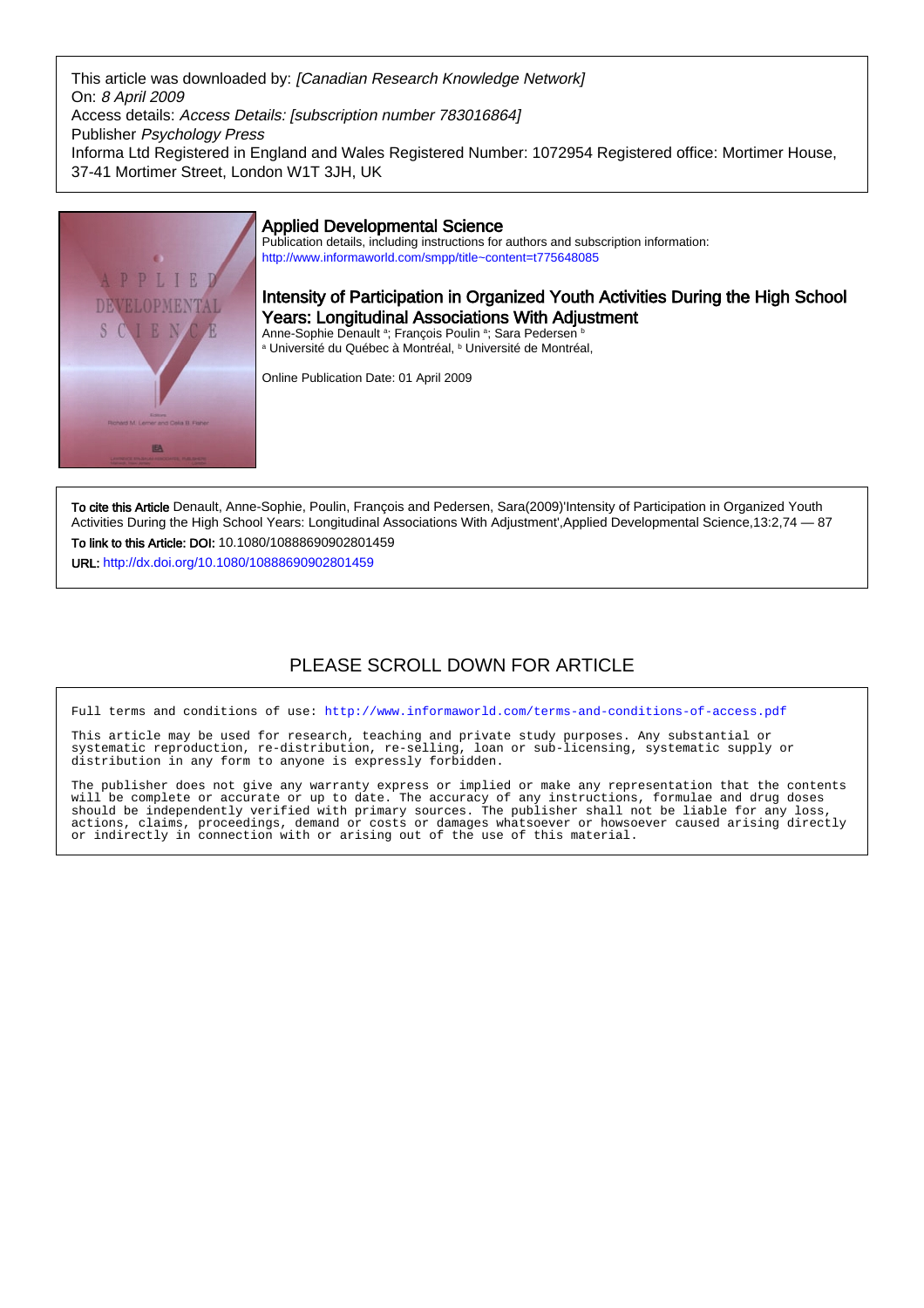This article was downloaded by: [Canadian Research Knowledge Network] On: 8 April 2009 Access details: Access Details: [subscription number 783016864] Publisher Psychology Press Informa Ltd Registered in England and Wales Registered Number: 1072954 Registered office: Mortimer House, 37-41 Mortimer Street, London W1T 3JH, UK



## Applied Developmental Science

Publication details, including instructions for authors and subscription information: <http://www.informaworld.com/smpp/title~content=t775648085>

## Intensity of Participation in Organized Youth Activities During the High School Years: Longitudinal Associations With Adjustment

Anne-Sophie Denault <sup>a</sup>; François Poulin <sup>a</sup>; Sara Pedersen b <sup>a</sup> Université du Québec à Montréal, <sup>b</sup> Université de Montréal,

Online Publication Date: 01 April 2009

To cite this Article Denault, Anne-Sophie, Poulin, François and Pedersen, Sara(2009)'Intensity of Participation in Organized Youth Activities During the High School Years: Longitudinal Associations With Adjustment',Applied Developmental Science,13:2,74 — 87 To link to this Article: DOI: 10.1080/10888690902801459

URL: <http://dx.doi.org/10.1080/10888690902801459>

## PLEASE SCROLL DOWN FOR ARTICLE

Full terms and conditions of use:<http://www.informaworld.com/terms-and-conditions-of-access.pdf>

This article may be used for research, teaching and private study purposes. Any substantial or systematic reproduction, re-distribution, re-selling, loan or sub-licensing, systematic supply or distribution in any form to anyone is expressly forbidden.

The publisher does not give any warranty express or implied or make any representation that the contents will be complete or accurate or up to date. The accuracy of any instructions, formulae and drug doses should be independently verified with primary sources. The publisher shall not be liable for any loss, actions, claims, proceedings, demand or costs or damages whatsoever or howsoever caused arising directly or indirectly in connection with or arising out of the use of this material.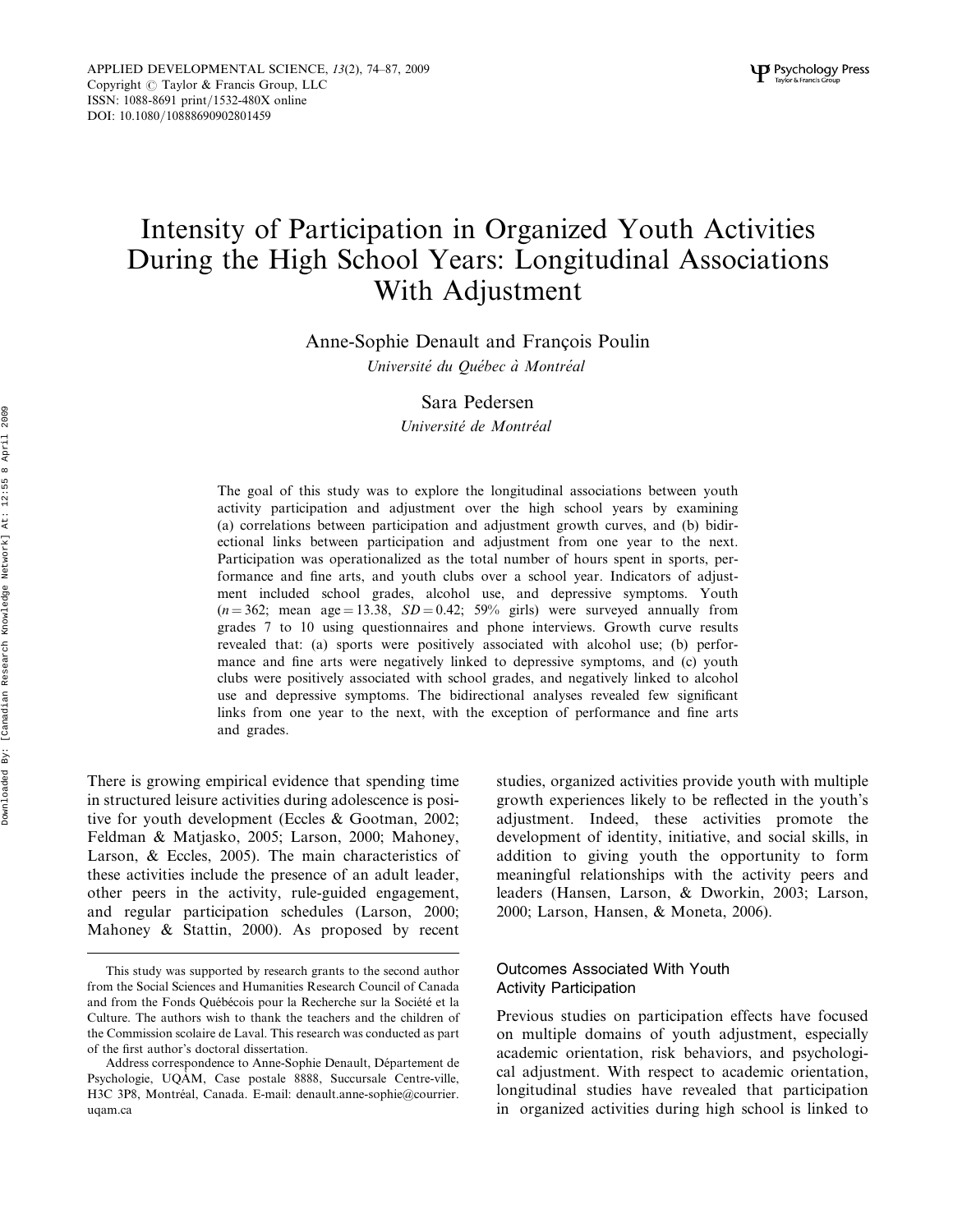# Intensity of Participation in Organized Youth Activities During the High School Years: Longitudinal Associations With Adjustment

Anne-Sophie Denault and François Poulin

Université du Ouébec à Montréal

## Sara Pedersen

Université de Montréal

The goal of this study was to explore the longitudinal associations between youth activity participation and adjustment over the high school years by examining (a) correlations between participation and adjustment growth curves, and (b) bidirectional links between participation and adjustment from one year to the next. Participation was operationalized as the total number of hours spent in sports, performance and fine arts, and youth clubs over a school year. Indicators of adjustment included school grades, alcohol use, and depressive symptoms. Youth  $(n = 362;$  mean age = 13.38,  $SD = 0.42; 59\%$  girls) were surveyed annually from grades 7 to 10 using questionnaires and phone interviews. Growth curve results revealed that: (a) sports were positively associated with alcohol use; (b) performance and fine arts were negatively linked to depressive symptoms, and (c) youth clubs were positively associated with school grades, and negatively linked to alcohol use and depressive symptoms. The bidirectional analyses revealed few significant links from one year to the next, with the exception of performance and fine arts and grades.

There is growing empirical evidence that spending time in structured leisure activities during adolescence is positive for youth development (Eccles & Gootman, 2002; Feldman & Matjasko, 2005; Larson, 2000; Mahoney, Larson, & Eccles, 2005). The main characteristics of these activities include the presence of an adult leader, other peers in the activity, rule-guided engagement, and regular participation schedules (Larson, 2000; Mahoney & Stattin, 2000). As proposed by recent studies, organized activities provide youth with multiple growth experiences likely to be reflected in the youth's adjustment. Indeed, these activities promote the development of identity, initiative, and social skills, in addition to giving youth the opportunity to form meaningful relationships with the activity peers and leaders (Hansen, Larson, & Dworkin, 2003; Larson, 2000; Larson, Hansen, & Moneta, 2006).

#### Outcomes Associated With Youth Activity Participation

Previous studies on participation effects have focused on multiple domains of youth adjustment, especially academic orientation, risk behaviors, and psychological adjustment. With respect to academic orientation, longitudinal studies have revealed that participation in organized activities during high school is linked to

This study was supported by research grants to the second author from the Social Sciences and Humanities Research Council of Canada and from the Fonds Québécois pour la Recherche sur la Société et la Culture. The authors wish to thank the teachers and the children of the Commission scolaire de Laval. This research was conducted as part of the first author's doctoral dissertation.

Address correspondence to Anne-Sophie Denault, Département de Psychologie, UQAM, Case postale 8888, Succursale Centre-ville, H3C 3P8, Montréal, Canada. E-mail: denault.anne-sophie@courrier. uqam.ca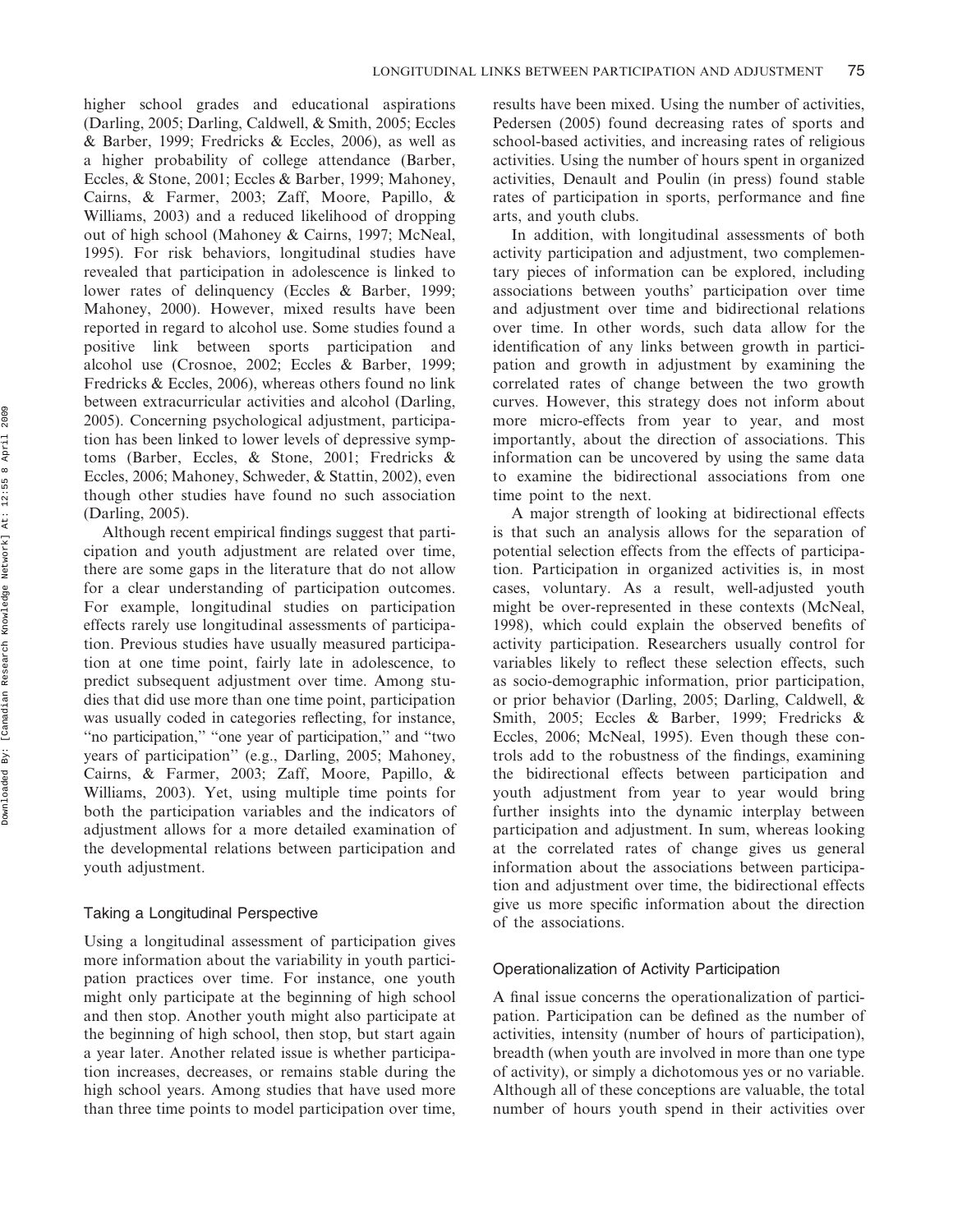higher school grades and educational aspirations (Darling, 2005; Darling, Caldwell, & Smith, 2005; Eccles & Barber, 1999; Fredricks & Eccles, 2006), as well as a higher probability of college attendance (Barber, Eccles, & Stone, 2001; Eccles & Barber, 1999; Mahoney, Cairns, & Farmer, 2003; Zaff, Moore, Papillo, & Williams, 2003) and a reduced likelihood of dropping out of high school (Mahoney & Cairns, 1997; McNeal, 1995). For risk behaviors, longitudinal studies have revealed that participation in adolescence is linked to lower rates of delinquency (Eccles & Barber, 1999; Mahoney, 2000). However, mixed results have been reported in regard to alcohol use. Some studies found a positive link between sports participation and alcohol use (Crosnoe, 2002; Eccles & Barber, 1999; Fredricks & Eccles, 2006), whereas others found no link between extracurricular activities and alcohol (Darling, 2005). Concerning psychological adjustment, participation has been linked to lower levels of depressive symptoms (Barber, Eccles, & Stone, 2001; Fredricks & Eccles, 2006; Mahoney, Schweder, & Stattin, 2002), even though other studies have found no such association (Darling, 2005).

Although recent empirical findings suggest that participation and youth adjustment are related over time, there are some gaps in the literature that do not allow for a clear understanding of participation outcomes. For example, longitudinal studies on participation effects rarely use longitudinal assessments of participation. Previous studies have usually measured participation at one time point, fairly late in adolescence, to predict subsequent adjustment over time. Among studies that did use more than one time point, participation was usually coded in categories reflecting, for instance, ''no participation,'' ''one year of participation,'' and ''two years of participation'' (e.g., Darling, 2005; Mahoney, Cairns, & Farmer, 2003; Zaff, Moore, Papillo, & Williams, 2003). Yet, using multiple time points for both the participation variables and the indicators of adjustment allows for a more detailed examination of the developmental relations between participation and youth adjustment.

#### Taking a Longitudinal Perspective

Using a longitudinal assessment of participation gives more information about the variability in youth participation practices over time. For instance, one youth might only participate at the beginning of high school and then stop. Another youth might also participate at the beginning of high school, then stop, but start again a year later. Another related issue is whether participation increases, decreases, or remains stable during the high school years. Among studies that have used more than three time points to model participation over time,

results have been mixed. Using the number of activities, Pedersen (2005) found decreasing rates of sports and school-based activities, and increasing rates of religious activities. Using the number of hours spent in organized activities, Denault and Poulin (in press) found stable rates of participation in sports, performance and fine arts, and youth clubs.

In addition, with longitudinal assessments of both activity participation and adjustment, two complementary pieces of information can be explored, including associations between youths' participation over time and adjustment over time and bidirectional relations over time. In other words, such data allow for the identification of any links between growth in participation and growth in adjustment by examining the correlated rates of change between the two growth curves. However, this strategy does not inform about more micro-effects from year to year, and most importantly, about the direction of associations. This information can be uncovered by using the same data to examine the bidirectional associations from one time point to the next.

A major strength of looking at bidirectional effects is that such an analysis allows for the separation of potential selection effects from the effects of participation. Participation in organized activities is, in most cases, voluntary. As a result, well-adjusted youth might be over-represented in these contexts (McNeal, 1998), which could explain the observed benefits of activity participation. Researchers usually control for variables likely to reflect these selection effects, such as socio-demographic information, prior participation, or prior behavior (Darling, 2005; Darling, Caldwell, & Smith, 2005; Eccles & Barber, 1999; Fredricks & Eccles, 2006; McNeal, 1995). Even though these controls add to the robustness of the findings, examining the bidirectional effects between participation and youth adjustment from year to year would bring further insights into the dynamic interplay between participation and adjustment. In sum, whereas looking at the correlated rates of change gives us general information about the associations between participation and adjustment over time, the bidirectional effects give us more specific information about the direction of the associations.

#### Operationalization of Activity Participation

A final issue concerns the operationalization of participation. Participation can be defined as the number of activities, intensity (number of hours of participation), breadth (when youth are involved in more than one type of activity), or simply a dichotomous yes or no variable. Although all of these conceptions are valuable, the total number of hours youth spend in their activities over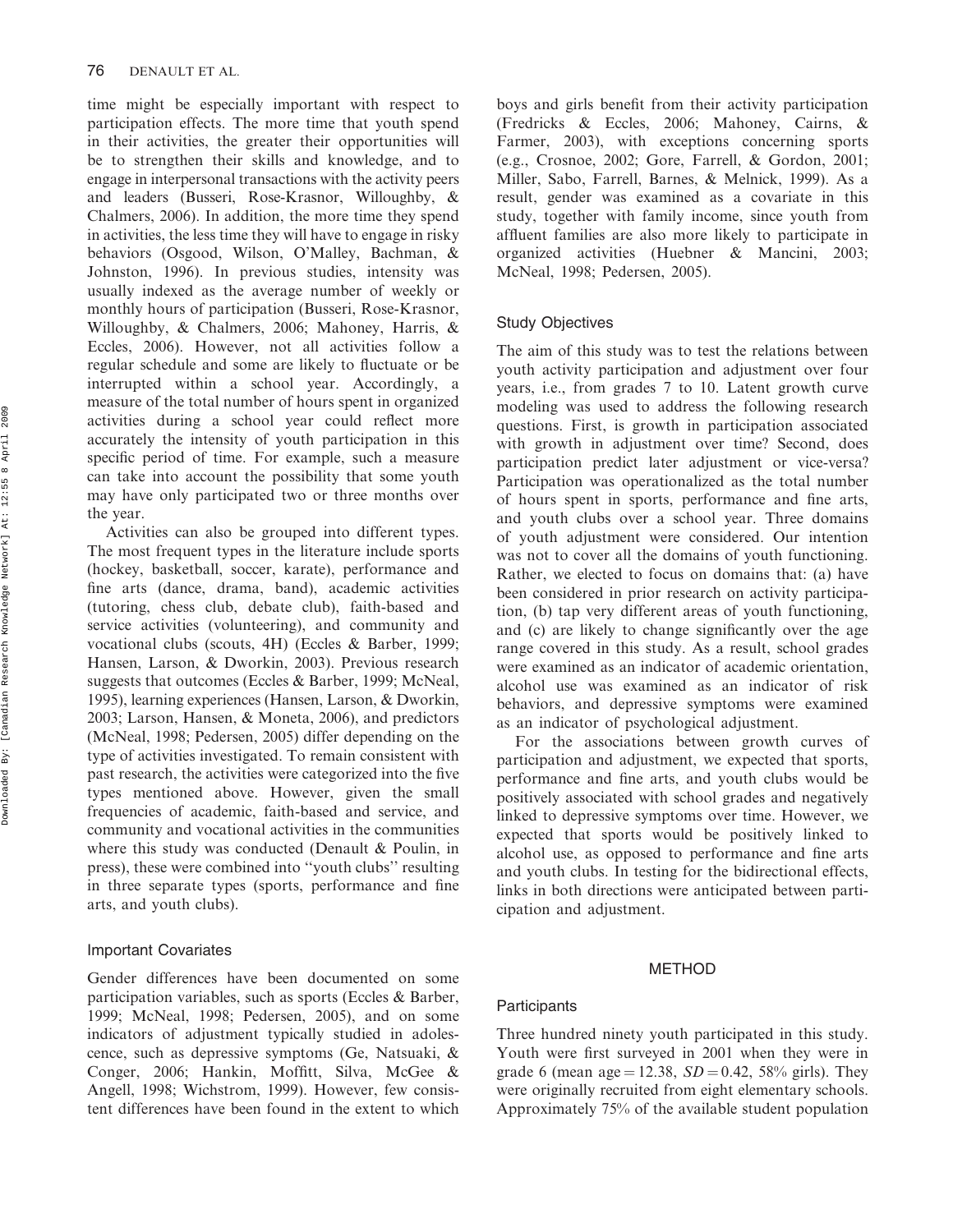time might be especially important with respect to participation effects. The more time that youth spend in their activities, the greater their opportunities will be to strengthen their skills and knowledge, and to engage in interpersonal transactions with the activity peers and leaders (Busseri, Rose-Krasnor, Willoughby, & Chalmers, 2006). In addition, the more time they spend in activities, the less time they will have to engage in risky behaviors (Osgood, Wilson, O'Malley, Bachman, & Johnston, 1996). In previous studies, intensity was usually indexed as the average number of weekly or monthly hours of participation (Busseri, Rose-Krasnor, Willoughby, & Chalmers, 2006; Mahoney, Harris, & Eccles, 2006). However, not all activities follow a regular schedule and some are likely to fluctuate or be interrupted within a school year. Accordingly, a measure of the total number of hours spent in organized activities during a school year could reflect more accurately the intensity of youth participation in this specific period of time. For example, such a measure can take into account the possibility that some youth may have only participated two or three months over the year.

Activities can also be grouped into different types. The most frequent types in the literature include sports (hockey, basketball, soccer, karate), performance and fine arts (dance, drama, band), academic activities (tutoring, chess club, debate club), faith-based and service activities (volunteering), and community and vocational clubs (scouts, 4H) (Eccles & Barber, 1999; Hansen, Larson, & Dworkin, 2003). Previous research suggests that outcomes (Eccles & Barber, 1999; McNeal, 1995), learning experiences (Hansen, Larson, & Dworkin, 2003; Larson, Hansen, & Moneta, 2006), and predictors (McNeal, 1998; Pedersen, 2005) differ depending on the type of activities investigated. To remain consistent with past research, the activities were categorized into the five types mentioned above. However, given the small frequencies of academic, faith-based and service, and community and vocational activities in the communities where this study was conducted (Denault & Poulin, in press), these were combined into ''youth clubs'' resulting in three separate types (sports, performance and fine arts, and youth clubs).

#### Important Covariates

Gender differences have been documented on some participation variables, such as sports (Eccles & Barber, 1999; McNeal, 1998; Pedersen, 2005), and on some indicators of adjustment typically studied in adolescence, such as depressive symptoms (Ge, Natsuaki, & Conger, 2006; Hankin, Moffitt, Silva, McGee & Angell, 1998; Wichstrom, 1999). However, few consistent differences have been found in the extent to which

boys and girls benefit from their activity participation (Fredricks & Eccles, 2006; Mahoney, Cairns, & Farmer, 2003), with exceptions concerning sports (e.g., Crosnoe, 2002; Gore, Farrell, & Gordon, 2001; Miller, Sabo, Farrell, Barnes, & Melnick, 1999). As a result, gender was examined as a covariate in this study, together with family income, since youth from affluent families are also more likely to participate in organized activities (Huebner & Mancini, 2003; McNeal, 1998; Pedersen, 2005).

#### Study Objectives

The aim of this study was to test the relations between youth activity participation and adjustment over four years, i.e., from grades 7 to 10. Latent growth curve modeling was used to address the following research questions. First, is growth in participation associated with growth in adjustment over time? Second, does participation predict later adjustment or vice-versa? Participation was operationalized as the total number of hours spent in sports, performance and fine arts, and youth clubs over a school year. Three domains of youth adjustment were considered. Our intention was not to cover all the domains of youth functioning. Rather, we elected to focus on domains that: (a) have been considered in prior research on activity participation, (b) tap very different areas of youth functioning, and (c) are likely to change significantly over the age range covered in this study. As a result, school grades were examined as an indicator of academic orientation, alcohol use was examined as an indicator of risk behaviors, and depressive symptoms were examined as an indicator of psychological adjustment.

For the associations between growth curves of participation and adjustment, we expected that sports, performance and fine arts, and youth clubs would be positively associated with school grades and negatively linked to depressive symptoms over time. However, we expected that sports would be positively linked to alcohol use, as opposed to performance and fine arts and youth clubs. In testing for the bidirectional effects, links in both directions were anticipated between participation and adjustment.

#### METHOD

#### **Participants**

Three hundred ninety youth participated in this study. Youth were first surveyed in 2001 when they were in grade 6 (mean age = 12.38,  $SD = 0.42$ , 58% girls). They were originally recruited from eight elementary schools. Approximately 75% of the available student population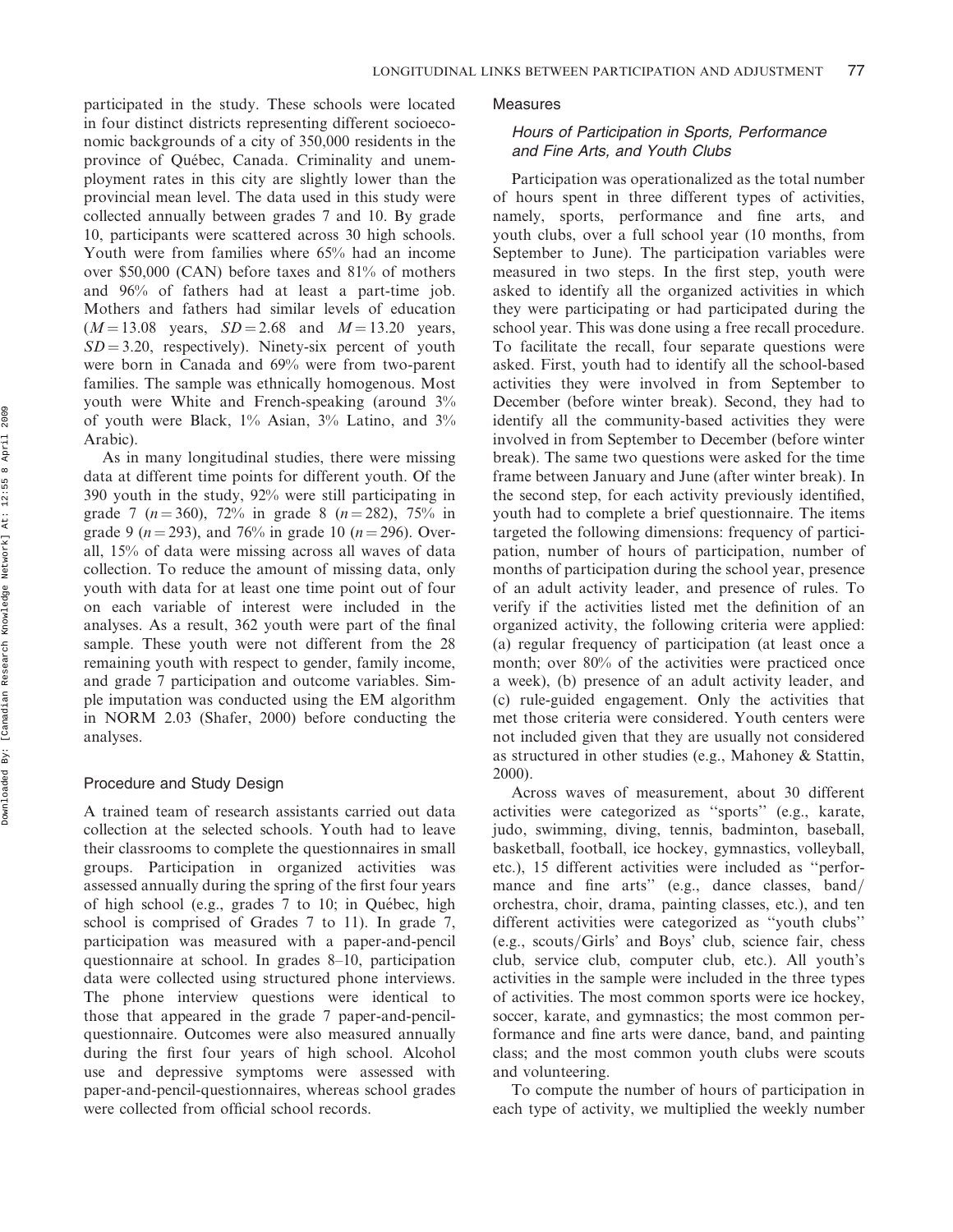participated in the study. These schools were located in four distinct districts representing different socioeconomic backgrounds of a city of 350,000 residents in the province of Québec, Canada. Criminality and unemployment rates in this city are slightly lower than the provincial mean level. The data used in this study were collected annually between grades 7 and 10. By grade 10, participants were scattered across 30 high schools. Youth were from families where 65% had an income over \$50,000 (CAN) before taxes and 81% of mothers and 96% of fathers had at least a part-time job. Mothers and fathers had similar levels of education  $(M = 13.08$  years,  $SD = 2.68$  and  $M = 13.20$  years,  $SD = 3.20$ , respectively). Ninety-six percent of youth were born in Canada and 69% were from two-parent families. The sample was ethnically homogenous. Most youth were White and French-speaking (around 3% of youth were Black, 1% Asian, 3% Latino, and 3% Arabic).

As in many longitudinal studies, there were missing data at different time points for different youth. Of the 390 youth in the study, 92% were still participating in grade 7 ( $n = 360$ ), 72% in grade 8 ( $n = 282$ ), 75% in grade 9 ( $n = 293$ ), and 76% in grade 10 ( $n = 296$ ). Overall, 15% of data were missing across all waves of data collection. To reduce the amount of missing data, only youth with data for at least one time point out of four on each variable of interest were included in the analyses. As a result, 362 youth were part of the final sample. These youth were not different from the 28 remaining youth with respect to gender, family income, and grade 7 participation and outcome variables. Simple imputation was conducted using the EM algorithm in NORM 2.03 (Shafer, 2000) before conducting the analyses.

#### Procedure and Study Design

A trained team of research assistants carried out data collection at the selected schools. Youth had to leave their classrooms to complete the questionnaires in small groups. Participation in organized activities was assessed annually during the spring of the first four years of high school (e.g., grades 7 to 10; in Québec, high school is comprised of Grades 7 to 11). In grade 7, participation was measured with a paper-and-pencil questionnaire at school. In grades 8–10, participation data were collected using structured phone interviews. The phone interview questions were identical to those that appeared in the grade 7 paper-and-pencilquestionnaire. Outcomes were also measured annually during the first four years of high school. Alcohol use and depressive symptoms were assessed with paper-and-pencil-questionnaires, whereas school grades were collected from official school records.

#### Measures

## Hours of Participation in Sports, Performance and Fine Arts, and Youth Clubs

Participation was operationalized as the total number of hours spent in three different types of activities, namely, sports, performance and fine arts, and youth clubs, over a full school year (10 months, from September to June). The participation variables were measured in two steps. In the first step, youth were asked to identify all the organized activities in which they were participating or had participated during the school year. This was done using a free recall procedure. To facilitate the recall, four separate questions were asked. First, youth had to identify all the school-based activities they were involved in from September to December (before winter break). Second, they had to identify all the community-based activities they were involved in from September to December (before winter break). The same two questions were asked for the time frame between January and June (after winter break). In the second step, for each activity previously identified, youth had to complete a brief questionnaire. The items targeted the following dimensions: frequency of participation, number of hours of participation, number of months of participation during the school year, presence of an adult activity leader, and presence of rules. To verify if the activities listed met the definition of an organized activity, the following criteria were applied: (a) regular frequency of participation (at least once a month; over 80% of the activities were practiced once a week), (b) presence of an adult activity leader, and (c) rule-guided engagement. Only the activities that met those criteria were considered. Youth centers were not included given that they are usually not considered as structured in other studies (e.g., Mahoney & Stattin, 2000).

Across waves of measurement, about 30 different activities were categorized as ''sports'' (e.g., karate, judo, swimming, diving, tennis, badminton, baseball, basketball, football, ice hockey, gymnastics, volleyball, etc.), 15 different activities were included as ''performance and fine arts" (e.g., dance classes, band/ orchestra, choir, drama, painting classes, etc.), and ten different activities were categorized as ''youth clubs'' (e.g., scouts/Girls' and Boys' club, science fair, chess club, service club, computer club, etc.). All youth's activities in the sample were included in the three types of activities. The most common sports were ice hockey, soccer, karate, and gymnastics; the most common performance and fine arts were dance, band, and painting class; and the most common youth clubs were scouts and volunteering.

To compute the number of hours of participation in each type of activity, we multiplied the weekly number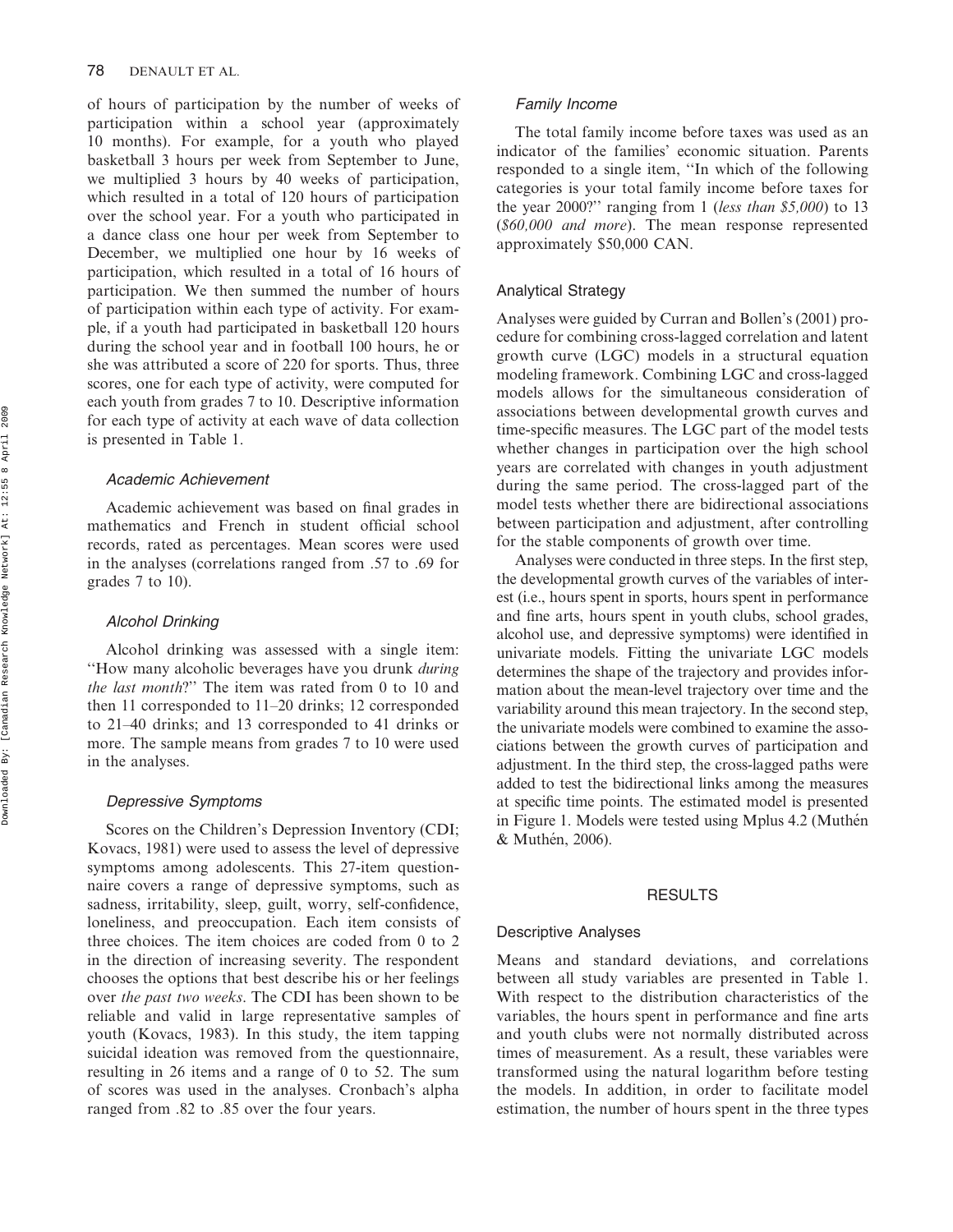of hours of participation by the number of weeks of participation within a school year (approximately 10 months). For example, for a youth who played basketball 3 hours per week from September to June, we multiplied 3 hours by 40 weeks of participation, which resulted in a total of 120 hours of participation over the school year. For a youth who participated in a dance class one hour per week from September to December, we multiplied one hour by 16 weeks of participation, which resulted in a total of 16 hours of participation. We then summed the number of hours of participation within each type of activity. For example, if a youth had participated in basketball 120 hours during the school year and in football 100 hours, he or she was attributed a score of 220 for sports. Thus, three scores, one for each type of activity, were computed for each youth from grades 7 to 10. Descriptive information for each type of activity at each wave of data collection is presented in Table 1.

#### Academic Achievement

Academic achievement was based on final grades in mathematics and French in student official school records, rated as percentages. Mean scores were used in the analyses (correlations ranged from .57 to .69 for grades 7 to 10).

#### Alcohol Drinking

Alcohol drinking was assessed with a single item: ''How many alcoholic beverages have you drunk during the last month?'' The item was rated from 0 to 10 and then 11 corresponded to 11–20 drinks; 12 corresponded to 21–40 drinks; and 13 corresponded to 41 drinks or more. The sample means from grades 7 to 10 were used in the analyses.

#### Depressive Symptoms

Scores on the Children's Depression Inventory (CDI; Kovacs, 1981) were used to assess the level of depressive symptoms among adolescents. This 27-item questionnaire covers a range of depressive symptoms, such as sadness, irritability, sleep, guilt, worry, self-confidence, loneliness, and preoccupation. Each item consists of three choices. The item choices are coded from 0 to 2 in the direction of increasing severity. The respondent chooses the options that best describe his or her feelings over the past two weeks. The CDI has been shown to be reliable and valid in large representative samples of youth (Kovacs, 1983). In this study, the item tapping suicidal ideation was removed from the questionnaire, resulting in 26 items and a range of 0 to 52. The sum of scores was used in the analyses. Cronbach's alpha ranged from .82 to .85 over the four years.

#### Family Income

The total family income before taxes was used as an indicator of the families' economic situation. Parents responded to a single item, ''In which of the following categories is your total family income before taxes for the year 2000?" ranging from 1 (less than  $$5,000$ ) to 13 (\$60,000 and more). The mean response represented approximately \$50,000 CAN.

#### Analytical Strategy

Analyses were guided by Curran and Bollen's (2001) procedure for combining cross-lagged correlation and latent growth curve (LGC) models in a structural equation modeling framework. Combining LGC and cross-lagged models allows for the simultaneous consideration of associations between developmental growth curves and time-specific measures. The LGC part of the model tests whether changes in participation over the high school years are correlated with changes in youth adjustment during the same period. The cross-lagged part of the model tests whether there are bidirectional associations between participation and adjustment, after controlling for the stable components of growth over time.

Analyses were conducted in three steps. In the first step, the developmental growth curves of the variables of interest (i.e., hours spent in sports, hours spent in performance and fine arts, hours spent in youth clubs, school grades, alcohol use, and depressive symptoms) were identified in univariate models. Fitting the univariate LGC models determines the shape of the trajectory and provides information about the mean-level trajectory over time and the variability around this mean trajectory. In the second step, the univariate models were combined to examine the associations between the growth curves of participation and adjustment. In the third step, the cross-lagged paths were added to test the bidirectional links among the measures at specific time points. The estimated model is presented in Figure 1. Models were tested using Mplus 4.2 (Muthén & Muthén, 2006).

#### RESULTS

#### Descriptive Analyses

Means and standard deviations, and correlations between all study variables are presented in Table 1. With respect to the distribution characteristics of the variables, the hours spent in performance and fine arts and youth clubs were not normally distributed across times of measurement. As a result, these variables were transformed using the natural logarithm before testing the models. In addition, in order to facilitate model estimation, the number of hours spent in the three types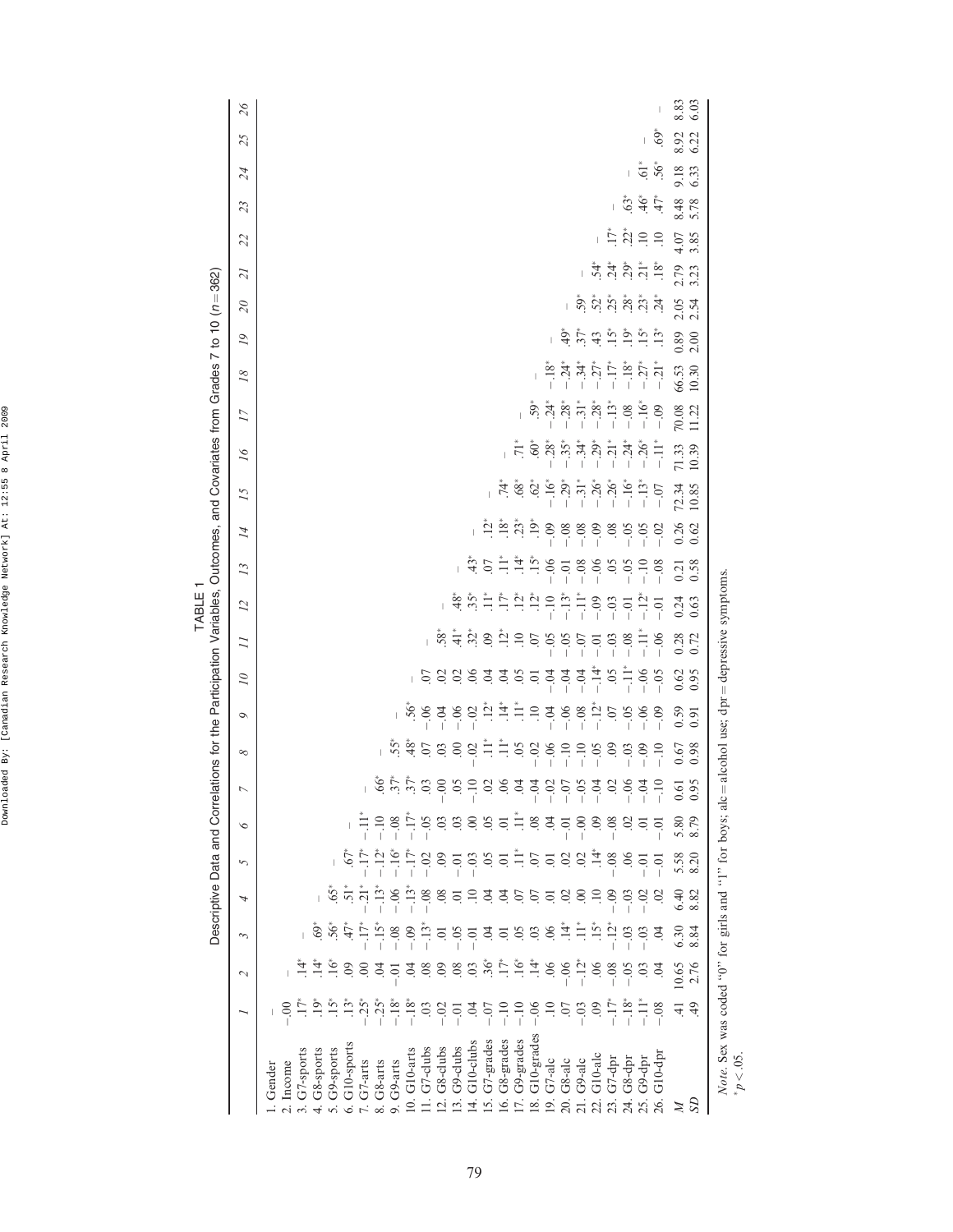|                                                                                                                         | $\delta$<br>25<br>24     |                        |           |                 |              |               |            |                                                                               |            |              |                 |                               |                     |                                |                     |                  |                     |                                                                                                                                     |                                                                                                                                                                                                                                                                                                                                                                                                                                                                                               |                           |               |                     |                      |                     |                        | $69^*$<br>$\overset{*}{\phantom{}}56^*$                                                                                                                                                                                                               | 8.83<br>9.18<br>6.33 | 6.03<br>8.92<br>6.22        |                                                                                                        |
|-------------------------------------------------------------------------------------------------------------------------|--------------------------|------------------------|-----------|-----------------|--------------|---------------|------------|-------------------------------------------------------------------------------|------------|--------------|-----------------|-------------------------------|---------------------|--------------------------------|---------------------|------------------|---------------------|-------------------------------------------------------------------------------------------------------------------------------------|-----------------------------------------------------------------------------------------------------------------------------------------------------------------------------------------------------------------------------------------------------------------------------------------------------------------------------------------------------------------------------------------------------------------------------------------------------------------------------------------------|---------------------------|---------------|---------------------|----------------------|---------------------|------------------------|-------------------------------------------------------------------------------------------------------------------------------------------------------------------------------------------------------------------------------------------------------|----------------------|-----------------------------|--------------------------------------------------------------------------------------------------------|
|                                                                                                                         | 23<br>22                 |                        |           |                 |              |               |            |                                                                               |            |              |                 |                               |                     |                                |                     |                  |                     |                                                                                                                                     |                                                                                                                                                                                                                                                                                                                                                                                                                                                                                               |                           |               |                     |                      |                     |                        | $\stackrel{*}{\circ}$ $\stackrel{*}{\circ}$ $\stackrel{*}{\circ}$<br>$\begin{array}{c}\n\stackrel{*}{\frown} \stackrel{*}{\frown} 10 \\ \hline\n\end{array}$                                                                                          | 4.07                 | $8.48$<br>5.78              |                                                                                                        |
|                                                                                                                         | $\overline{C}$           |                        |           |                 |              |               | 54         |                                                                               |            |              |                 |                               |                     |                                |                     |                  |                     | $\stackrel{*}{\rightarrow} \stackrel{*}{\rightarrow} \stackrel{*}{\rightarrow} \stackrel{*}{\rightarrow} \stackrel{*}{\rightarrow}$ | $2.79$<br>$3.23$                                                                                                                                                                                                                                                                                                                                                                                                                                                                              |                           |               |                     |                      |                     |                        |                                                                                                                                                                                                                                                       |                      |                             |                                                                                                        |
|                                                                                                                         | $\overline{\mathcal{L}}$ |                        |           |                 |              |               |            |                                                                               |            |              |                 |                               |                     |                                |                     |                  |                     |                                                                                                                                     |                                                                                                                                                                                                                                                                                                                                                                                                                                                                                               |                           |               |                     |                      |                     |                        | $\overset{*}{\mathfrak{H}}\,\, \overset{*}{\mathfrak{H}}\, \, \overset{*}{\mathfrak{H}}\, \, \overset{*}{\mathfrak{H}}\, \, \overset{*}{\mathfrak{H}}\, \, \overset{*}{\mathfrak{H}}\, \, \overset{*}{\mathfrak{H}}\, \, \overset{*}{\mathfrak{H}}\,$ | 2.54                 |                             |                                                                                                        |
|                                                                                                                         | 29                       |                        |           |                 |              |               |            |                                                                               |            |              |                 |                               |                     |                                |                     |                  |                     |                                                                                                                                     |                                                                                                                                                                                                                                                                                                                                                                                                                                                                                               |                           |               |                     |                      |                     |                        | $\begin{array}{ccccccccc}\n\ddot{\varphi} & \ddot{\varphi} & \ddot{\varphi} & \ddot{\varphi} & \ddot{\varphi} & \ddot{\varphi} & \ddot{\varphi}\n\end{array}$                                                                                         | $0.89$<br>$2.00$     |                             |                                                                                                        |
|                                                                                                                         | 18                       |                        |           |                 |              |               |            |                                                                               |            |              |                 |                               |                     |                                |                     |                  |                     |                                                                                                                                     |                                                                                                                                                                                                                                                                                                                                                                                                                                                                                               |                           |               |                     |                      |                     |                        |                                                                                                                                                                                                                                                       | 66.53<br>10.30       |                             |                                                                                                        |
|                                                                                                                         | $\overline{L}$           |                        |           |                 |              |               |            |                                                                               |            |              |                 |                               |                     |                                |                     |                  |                     |                                                                                                                                     |                                                                                                                                                                                                                                                                                                                                                                                                                                                                                               |                           |               |                     |                      |                     |                        | $-59$<br>$-79$<br>$-79$<br>$-79$<br>$-79$<br>$-79$<br>$-79$<br>$-79$<br>$-79$<br>$-79$<br>$-79$<br>$-79$<br>$-79$<br>$-79$                                                                                                                            | $70.08$<br>11.22     |                             |                                                                                                        |
|                                                                                                                         | $\tilde{q}$              |                        |           |                 |              |               |            |                                                                               |            |              |                 |                               |                     |                                |                     |                  |                     |                                                                                                                                     |                                                                                                                                                                                                                                                                                                                                                                                                                                                                                               |                           |               |                     |                      |                     |                        |                                                                                                                                                                                                                                                       |                      | 71.33                       |                                                                                                        |
|                                                                                                                         | 15                       |                        |           |                 |              |               |            |                                                                               |            |              |                 |                               |                     |                                |                     |                  |                     |                                                                                                                                     |                                                                                                                                                                                                                                                                                                                                                                                                                                                                                               |                           |               |                     |                      |                     |                        |                                                                                                                                                                                                                                                       |                      | $72.34$<br>10.85            |                                                                                                        |
|                                                                                                                         | $\overline{14}$          |                        |           |                 |              |               |            |                                                                               |            |              |                 |                               |                     |                                |                     |                  |                     |                                                                                                                                     |                                                                                                                                                                                                                                                                                                                                                                                                                                                                                               |                           |               |                     | $\ddot{\phantom{0}}$ | $-0.58$<br>$-0.02$  |                        |                                                                                                                                                                                                                                                       |                      | $0.26$<br>$0.62$            |                                                                                                        |
|                                                                                                                         | $\overline{13}$          |                        |           |                 |              |               |            |                                                                               |            |              |                 |                               |                     |                                |                     |                  |                     |                                                                                                                                     | $\begin{array}{c} 4,125 \\ 4,155 \\ -1,155 \\ -1,155 \\ -1,155 \\ -1,155 \\ -1,155 \\ -1,155 \\ -1,155 \\ -1,155 \\ -1,155 \\ -1,155 \\ -1,155 \\ -1,155 \\ -1,155 \\ -1,155 \\ -1,155 \\ -1,155 \\ -1,155 \\ -1,155 \\ -1,155 \\ -1,155 \\ -1,155 \\ -1,155 \\ -1,155 \\ -1,155 \\ -1,155 \\ -1,155 \\ -1,155 \\ -1,155 \\ -1,$                                                                                                                                                              |                           |               |                     |                      | $30.108$<br>$-1.08$ |                        |                                                                                                                                                                                                                                                       |                      | $\frac{0.21}{0.58}$         |                                                                                                        |
| Descriptive Data and Correlations for the Participation Variables, Outcomes, and Covariates from Grades 7 to 10 (n=362) | $\overline{L}$           |                        |           |                 |              |               |            |                                                                               |            |              |                 |                               |                     |                                |                     |                  |                     |                                                                                                                                     | $\begin{array}{ccccccccc}\n\mathring{a} & \mathring{b} & \mathring{c} & \mathring{c} & \mathring{c} & \mathring{c} & \mathring{c} & \mathring{c} & \mathring{c} & \mathring{c} & \mathring{c} & \mathring{c} & \mathring{c} & \mathring{c} & \mathring{c} & \mathring{c} & \mathring{c} & \mathring{c} & \mathring{c} & \mathring{c} & \mathring{c} & \mathring{c} & \mathring{c} & \mathring{c} & \mathring{c} & \mathring{c} & \mathring{c} & \mathring{c} & \mathring{c} & \mathring{c} &$ |                           |               |                     |                      |                     |                        |                                                                                                                                                                                                                                                       |                      | $0.24$<br>$0.63$            |                                                                                                        |
|                                                                                                                         | $\overline{11}$          |                        |           |                 |              |               |            |                                                                               |            |              |                 |                               |                     |                                |                     |                  |                     |                                                                                                                                     |                                                                                                                                                                                                                                                                                                                                                                                                                                                                                               |                           |               |                     |                      |                     |                        |                                                                                                                                                                                                                                                       |                      | 0.72                        | <i>Note.</i> Sex was coded "0" for girls and "1" for boys; alc=alcohol use; dpr = depressive symptoms. |
|                                                                                                                         | $\overline{a}$           |                        |           |                 |              |               |            |                                                                               |            |              |                 |                               |                     |                                |                     |                  |                     |                                                                                                                                     |                                                                                                                                                                                                                                                                                                                                                                                                                                                                                               |                           |               |                     |                      |                     |                        |                                                                                                                                                                                                                                                       |                      | $0.62$<br>0.95              |                                                                                                        |
|                                                                                                                         | $\circ$                  |                        |           |                 |              |               |            |                                                                               |            |              |                 |                               |                     |                                |                     |                  |                     |                                                                                                                                     |                                                                                                                                                                                                                                                                                                                                                                                                                                                                                               |                           |               |                     |                      |                     |                        |                                                                                                                                                                                                                                                       |                      | $\frac{0.59}{0.91}$         |                                                                                                        |
|                                                                                                                         | $\infty$                 |                        |           |                 |              |               |            |                                                                               |            |              |                 |                               |                     |                                |                     |                  |                     |                                                                                                                                     |                                                                                                                                                                                                                                                                                                                                                                                                                                                                                               |                           |               |                     |                      |                     |                        |                                                                                                                                                                                                                                                       |                      | $0.67$<br>0.98              |                                                                                                        |
|                                                                                                                         |                          |                        |           |                 |              |               |            |                                                                               |            |              |                 |                               |                     |                                |                     |                  |                     |                                                                                                                                     |                                                                                                                                                                                                                                                                                                                                                                                                                                                                                               |                           |               |                     |                      |                     |                        |                                                                                                                                                                                                                                                       | $\dot{\circ}$        | $\overline{6}$ 5<br>$\circ$ |                                                                                                        |
|                                                                                                                         | $\breve{\circ}$          |                        |           |                 |              |               |            | $\frac{1}{2}$                                                                 | $-0.08$    |              | $-17$<br>- 05   | S                             | $\ddot{\mathrm{0}}$ | $\odot$                        | $\ddot{\mathrm{S}}$ | $\Xi$            | $\ddot{=}$          | 08                                                                                                                                  | Ś.                                                                                                                                                                                                                                                                                                                                                                                                                                                                                            | $-0.01$                   | $-0$          | $\ddot{\mathrm{e}}$ | $-0.08$              | S                   |                        | $-0$                                                                                                                                                                                                                                                  | 5.80                 | 8.79                        |                                                                                                        |
|                                                                                                                         | 5                        |                        |           |                 |              | $\tilde{e}$ . | $-17^*$    | $-12$                                                                         | $-16$      | $-17$        | $-0.02$         | 60.                           | $\overline{c}$ .    | $-0.03$                        | $55 =$              |                  |                     | $0$                                                                                                                                 | $\Xi$                                                                                                                                                                                                                                                                                                                                                                                                                                                                                         | $\ddot{\mathrm{0}}$       | $\odot$       | $\ddot{4}$          | $-0.08$              | .06                 | $-0.0$                 | $-0$                                                                                                                                                                                                                                                  | 5.58                 | 8.20                        |                                                                                                        |
|                                                                                                                         | 4                        |                        |           |                 | $\tilde{S}$  | $\ddot{5}$    | $-0.21$    | $-13$                                                                         | $-0.06$    | $-13*$       | $-0.8$          | 08                            | $\Xi$               | $\ddot{=}$                     | S.                  | $\dot{5}$        | $\ddot{\theta}$     | $07$                                                                                                                                | $\Xi$                                                                                                                                                                                                                                                                                                                                                                                                                                                                                         | $\rm G$                   | S             | $\Xi$               | $-0.09$              | $-0.9$              | $-0.2$                 | $\widetilde{\mathrm{S}}$                                                                                                                                                                                                                              | 6.40                 | 8.82                        |                                                                                                        |
|                                                                                                                         | $\sim$                   |                        |           | 69              | \$6          | 47            | $-17^*$    | $-15$                                                                         | $-0.8$     | $-0.9$       | $-13$           | ą                             | $-0.5$              | $\overline{0}$ .               | S.                  | ō                | $\ddot{\mathrm{c}}$ | $\ddot{\circ}$                                                                                                                      | 06                                                                                                                                                                                                                                                                                                                                                                                                                                                                                            | $\stackrel{*}{\equiv}$    | $\ddot{=}$    | $\ddot{5}$          | $-12^{*}$            | $-0.03$             | $-0.3$                 | $\overline{0}$                                                                                                                                                                                                                                        | 6.30                 | 8.84                        |                                                                                                        |
|                                                                                                                         | $\sim$                   |                        | $\vec{=}$ | $\vec{A}$       | $\ddot{16}$  | $\odot$       | S.         | Ś.                                                                            | $-0$       | Ŕ.           | $\overline{08}$ | $\ddot{\circ}$                | $\overline{0}$      | $\mathcal{L}$                  | $.36*$              | $\ddot{17}$      | $\frac{16}{1}$      | $\ddot{4}$                                                                                                                          | $\sim$                                                                                                                                                                                                                                                                                                                                                                                                                                                                                        | $-0.06$                   | $-12^{*}$     | $\widetilde{6}$     | $-0.8$               | $-0.5$              | $\ddot{\mathrm{c}}$    | Ś.                                                                                                                                                                                                                                                    | 10.65                | 2.76                        |                                                                                                        |
|                                                                                                                         |                          | $-0.0$                 | Ē         | $\ddot{5}$      | $\ddot{5}^*$ | $.13*$        |            | $\begin{array}{c}\n5 \times 15 \\ -25 \times 15 \\ -1 \times 15\n\end{array}$ |            | $-18$        | $\ddot{0}$      | $-0$                          | $\overline{0}$ .    | Ś.                             | $rac{5}{1}$         | $-10$            | $-10$<br>$-10$      |                                                                                                                                     | $\overline{10}$                                                                                                                                                                                                                                                                                                                                                                                                                                                                               | $\rm C$                   | $-0.03$       | 60                  | $-17^*$              | $-18^{\circ}$       | $-11^*$                | $-0.08$                                                                                                                                                                                                                                               | £                    | 49                          |                                                                                                        |
|                                                                                                                         |                          | 2. Income<br>1. Gender | G7-sports | G8-sports<br>4. | G9-sports    | 6. G10-sports | 7. G7-arts | 8. G8-arts                                                                    | 9. G9-arts | 10. G10-arts | $11. G7$ -clubs | G8-clubs<br>$\overline{12}$ . | G9-clubs<br>13.     | G10-clubs<br>$\overline{14}$ . | 15. G7-grades       | G8-grades<br>16. | 17. G9-grades       | G10-grades<br>18.                                                                                                                   | $G$ 7-alc<br>19.                                                                                                                                                                                                                                                                                                                                                                                                                                                                              | G8-alc<br>20 <sub>1</sub> | G9-alc<br>21. | $G10$ -alc<br>22.   | G7-dpr<br>23.        | $G8-dpr$<br>24.     | $\mbox{G9-dpr}$<br>25. | 26. G10-dpr                                                                                                                                                                                                                                           | $\mathbb{Z}$         | SD                          |                                                                                                        |

TABLE 1

79

 $p < 0.5$ .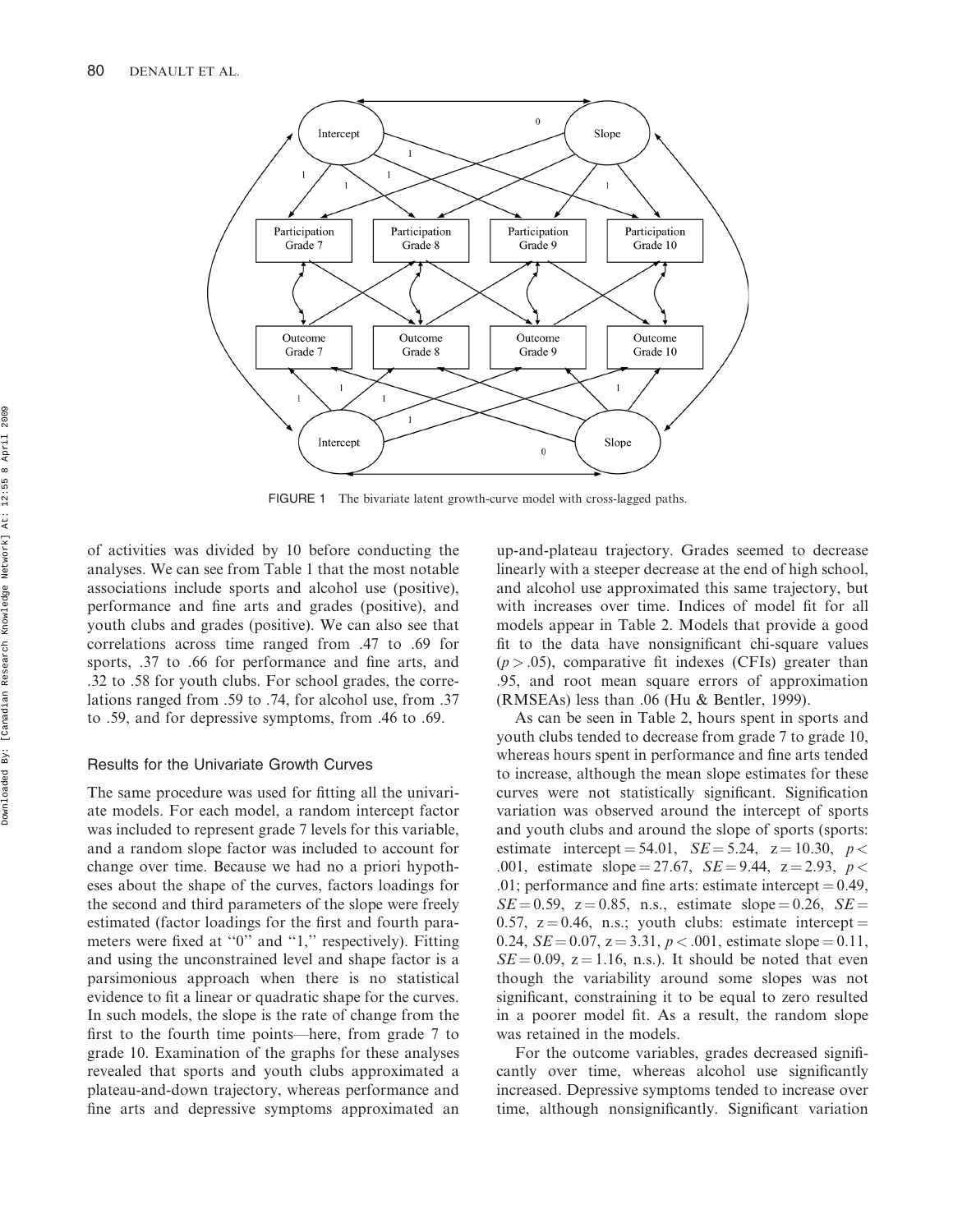

FIGURE 1 The bivariate latent growth-curve model with cross-lagged paths.

of activities was divided by 10 before conducting the analyses. We can see from Table 1 that the most notable associations include sports and alcohol use (positive), performance and fine arts and grades (positive), and youth clubs and grades (positive). We can also see that correlations across time ranged from .47 to .69 for sports, .37 to .66 for performance and fine arts, and .32 to .58 for youth clubs. For school grades, the correlations ranged from .59 to .74, for alcohol use, from .37 to .59, and for depressive symptoms, from .46 to .69.

#### Results for the Univariate Growth Curves

The same procedure was used for fitting all the univariate models. For each model, a random intercept factor was included to represent grade 7 levels for this variable, and a random slope factor was included to account for change over time. Because we had no a priori hypotheses about the shape of the curves, factors loadings for the second and third parameters of the slope were freely estimated (factor loadings for the first and fourth parameters were fixed at "0" and "1," respectively). Fitting and using the unconstrained level and shape factor is a parsimonious approach when there is no statistical evidence to fit a linear or quadratic shape for the curves. In such models, the slope is the rate of change from the first to the fourth time points—here, from grade 7 to grade 10. Examination of the graphs for these analyses revealed that sports and youth clubs approximated a plateau-and-down trajectory, whereas performance and fine arts and depressive symptoms approximated an up-and-plateau trajectory. Grades seemed to decrease linearly with a steeper decrease at the end of high school, and alcohol use approximated this same trajectory, but with increases over time. Indices of model fit for all models appear in Table 2. Models that provide a good fit to the data have nonsignificant chi-square values  $(p > .05)$ , comparative fit indexes (CFIs) greater than .95, and root mean square errors of approximation (RMSEAs) less than .06 (Hu & Bentler, 1999).

As can be seen in Table 2, hours spent in sports and youth clubs tended to decrease from grade 7 to grade 10, whereas hours spent in performance and fine arts tended to increase, although the mean slope estimates for these curves were not statistically significant. Signification variation was observed around the intercept of sports and youth clubs and around the slope of sports (sports: estimate intercept = 54.01,  $SE = 5.24$ ,  $z = 10.30$ ,  $p <$ .001, estimate slope = 27.67,  $SE = 9.44$ ,  $z = 2.93$ ,  $p <$ .01; performance and fine arts: estimate intercept  $= 0.49$ ,  $SE = 0.59$ ,  $z = 0.85$ , n.s., estimate slope = 0.26,  $SE =$ 0.57,  $z = 0.46$ , n.s.; youth clubs: estimate intercept = 0.24,  $SE = 0.07$ ,  $z = 3.31$ ,  $p < .001$ , estimate slope  $= 0.11$ ,  $SE = 0.09$ ,  $z = 1.16$ , n.s.). It should be noted that even though the variability around some slopes was not significant, constraining it to be equal to zero resulted in a poorer model fit. As a result, the random slope was retained in the models.

For the outcome variables, grades decreased significantly over time, whereas alcohol use significantly increased. Depressive symptoms tended to increase over time, although nonsignificantly. Significant variation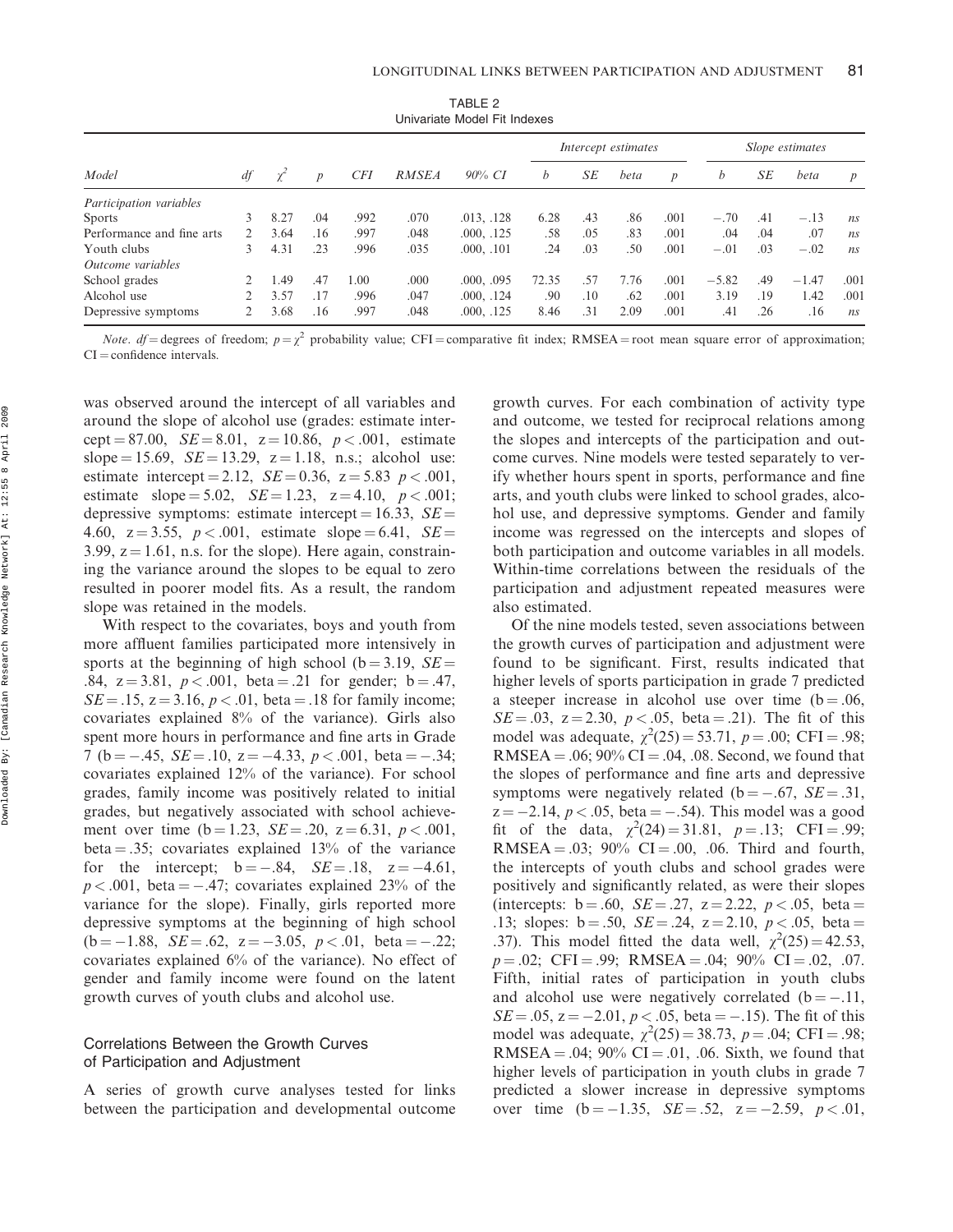|                           |    |      |                  | <b>CFI</b> | <b>RMSEA</b> | 90% CI     |       |     | Intercept estimates |                  | Slope estimates |     |         |                  |
|---------------------------|----|------|------------------|------------|--------------|------------|-------|-----|---------------------|------------------|-----------------|-----|---------|------------------|
| Model                     | df | ≁    | $\boldsymbol{p}$ |            |              |            | h     | SE  | beta                | $\boldsymbol{p}$ | h               | SE  | beta    | $\boldsymbol{p}$ |
| Participation variables   |    |      |                  |            |              |            |       |     |                     |                  |                 |     |         |                  |
| <b>Sports</b>             | 3  | 8.27 | .04              | .992       | .070         | .013, .128 | 6.28  | .43 | .86                 | .001             | $-.70$          | .41 | $-.13$  | ns               |
| Performance and fine arts |    | 3.64 | .16              | .997       | .048         | .000, .125 | .58   | .05 | .83                 | .001             | .04             | .04 | .07     | ns               |
| Youth clubs               | 3  | 4.31 | .23              | .996       | .035         | .000, .101 | .24   | .03 | .50                 | .001             | $-.01$          | .03 | $-.02$  | ns               |
| Outcome variables         |    |      |                  |            |              |            |       |     |                     |                  |                 |     |         |                  |
| School grades             |    | 1.49 | .47              | 0.00       | .000         | .000, .095 | 72.35 | .57 | 7.76                | .001             | $-5.82$         | .49 | $-1.47$ | .001             |
| Alcohol use               |    | 3.57 | .17              | .996       | .047         | .000, .124 | .90   | .10 | .62                 | .001             | 3.19            | .19 | 1.42    | .001             |
| Depressive symptoms       |    | 3.68 | .16              | .997       | .048         | .000, .125 | 8.46  | .31 | 2.09                | .001             | .41             | .26 | .16     | ns               |

TABLE 2 Univariate Model Fit Indexes

*Note. df* = degrees of freedom;  $p = \chi^2$  probability value; CFI = comparative fit index; RMSEA = root mean square error of approximation;  $CI =$  confidence intervals.

was observed around the intercept of all variables and around the slope of alcohol use (grades: estimate intercept = 87.00,  $SE = 8.01$ ,  $z = 10.86$ ,  $p < .001$ , estimate slope = 15.69,  $SE = 13.29$ ,  $z = 1.18$ , n.s.; alcohol use: estimate intercept = 2.12,  $SE = 0.36$ ,  $z = 5.83$   $p < .001$ , estimate slope = 5.02,  $SE = 1.23$ ,  $z = 4.10$ ,  $p < .001$ ; depressive symptoms: estimate intercept = 16.33,  $SE =$ 4.60,  $z = 3.55$ ,  $p < .001$ , estimate slope  $= 6.41$ ,  $SE =$ 3.99,  $z = 1.61$ , n.s. for the slope). Here again, constraining the variance around the slopes to be equal to zero resulted in poorer model fits. As a result, the random slope was retained in the models.

With respect to the covariates, boys and youth from more affluent families participated more intensively in sports at the beginning of high school (b = 3.19,  $SE =$ .84,  $z = 3.81$ ,  $p < .001$ , beta = .21 for gender; b = .47,  $SE = .15$ ,  $z = 3.16$ ,  $p < .01$ , beta = .18 for family income; covariates explained 8% of the variance). Girls also spent more hours in performance and fine arts in Grade 7 (b = -.45,  $SE = .10$ ,  $z = -4.33$ ,  $p < .001$ , beta = -.34; covariates explained 12% of the variance). For school grades, family income was positively related to initial grades, but negatively associated with school achievement over time ( $b = 1.23$ ,  $SE = .20$ ,  $z = 6.31$ ,  $p < .001$ , beta  $= .35$ ; covariates explained 13% of the variance for the intercept;  $b = -.84$ ,  $SE = .18$ ,  $z = -4.61$ ,  $p < .001$ , beta =  $-.47$ ; covariates explained 23% of the variance for the slope). Finally, girls reported more depressive symptoms at the beginning of high school  $(b = -1.88, \, SE = .62, \, z = -3.05, \, p < .01, \, beta = -.22;$ covariates explained 6% of the variance). No effect of gender and family income were found on the latent growth curves of youth clubs and alcohol use.

## Correlations Between the Growth Curves of Participation and Adjustment

A series of growth curve analyses tested for links between the participation and developmental outcome growth curves. For each combination of activity type and outcome, we tested for reciprocal relations among the slopes and intercepts of the participation and outcome curves. Nine models were tested separately to verify whether hours spent in sports, performance and fine arts, and youth clubs were linked to school grades, alcohol use, and depressive symptoms. Gender and family income was regressed on the intercepts and slopes of both participation and outcome variables in all models. Within-time correlations between the residuals of the participation and adjustment repeated measures were also estimated.

Of the nine models tested, seven associations between the growth curves of participation and adjustment were found to be significant. First, results indicated that higher levels of sports participation in grade 7 predicted a steeper increase in alcohol use over time  $(b = .06, )$  $SE = .03$ ,  $z = 2.30$ ,  $p < .05$ , beta = .21). The fit of this model was adequate,  $\chi^2(25) = 53.71$ ,  $p = .00$ ; CFI = .98; RMSEA = .06; 90% CI = .04, .08. Second, we found that the slopes of performance and fine arts and depressive symptoms were negatively related ( $b = -.67$ ,  $SE = .31$ ,  $z = -2.14$ ,  $p < .05$ , beta =  $-.54$ ). This model was a good fit of the data,  $\chi^2(24) = 31.81$ ,  $p = .13$ ; CFI = .99; RMSEA = .03; 90% CI = .00, .06. Third and fourth, the intercepts of youth clubs and school grades were positively and significantly related, as were their slopes (intercepts:  $b = .60$ ,  $SE = .27$ ,  $z = 2.22$ ,  $p < .05$ , beta = .13; slopes:  $b = .50$ ,  $SE = .24$ ,  $z = 2.10$ ,  $p < .05$ , beta = .37). This model fitted the data well,  $\chi^2(25) = 42.53$ ,  $p = .02$ ; CFI = .99; RMSEA = .04; 90% CI = .02, .07. Fifth, initial rates of participation in youth clubs and alcohol use were negatively correlated  $(b = -.11, ...)$  $SE = .05$ ,  $z = -2.01$ ,  $p < .05$ , beta  $= -.15$ ). The fit of this model was adequate,  $\chi^2(25) = 38.73$ ,  $p = .04$ ; CFI = .98; RMSEA = .04; 90% CI = .01, .06. Sixth, we found that higher levels of participation in youth clubs in grade 7 predicted a slower increase in depressive symptoms over time  $(b = -1.35, SE = .52, z = -2.59, p < .01,$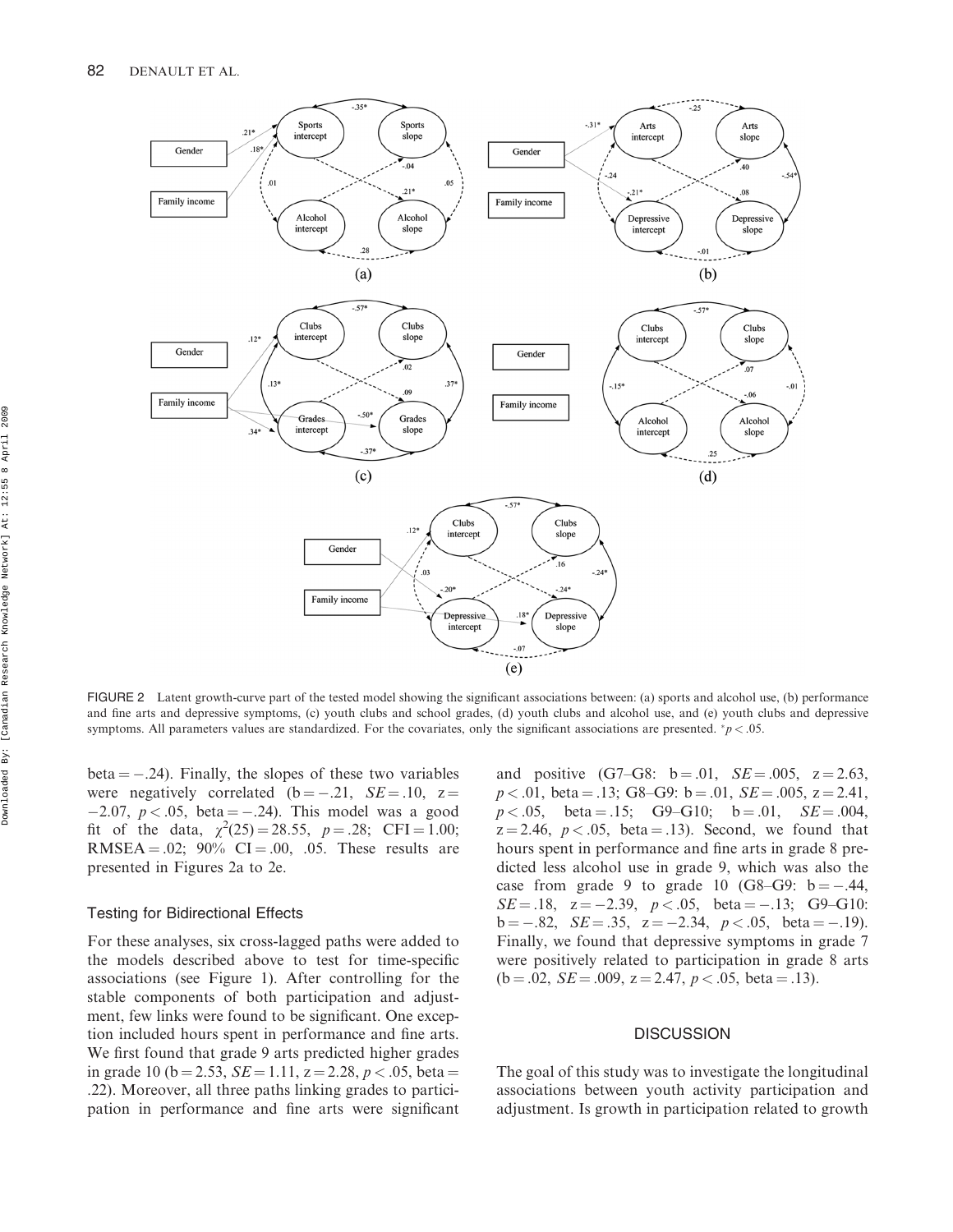

FIGURE 2 Latent growth-curve part of the tested model showing the significant associations between: (a) sports and alcohol use, (b) performance and fine arts and depressive symptoms, (c) youth clubs and school grades, (d) youth clubs and alcohol use, and (e) youth clubs and depressive symptoms. All parameters values are standardized. For the covariates, only the significant associations are presented.  $p < .05$ .

 $beta = -.24$ ). Finally, the slopes of these two variables were negatively correlated  $(b = -.21, SE = .10, z = )$  $-2.07$ ,  $p < .05$ , beta  $= -.24$ ). This model was a good fit of the data,  $\chi^2(25) = 28.55$ ,  $p = .28$ ; CFI = 1.00; RMSEA = .02; 90% CI = .00, .05. These results are presented in Figures 2a to 2e.

#### Testing for Bidirectional Effects

For these analyses, six cross-lagged paths were added to the models described above to test for time-specific associations (see Figure 1). After controlling for the stable components of both participation and adjustment, few links were found to be significant. One exception included hours spent in performance and fine arts. We first found that grade 9 arts predicted higher grades in grade 10 (b = 2.53,  $SE = 1.11$ , z = 2.28, p < .05, beta = .22). Moreover, all three paths linking grades to participation in performance and fine arts were significant

and positive  $(G7-G8: b = .01, SE = .005, z = 2.63,$  $p < .01$ , beta = .13; G8–G9: b = .01, SE = .005, z = 2.41,  $p < .05$ , beta = .15; G9–G10; b = .01, SE = .004,  $z = 2.46$ ,  $p < .05$ , beta = .13). Second, we found that hours spent in performance and fine arts in grade 8 predicted less alcohol use in grade 9, which was also the case from grade 9 to grade 10 (G8–G9:  $b = -.44$ ,  $SE = .18$ ,  $z = -2.39$ ,  $p < .05$ , beta = -.13; G9-G10:  $b = -.82$ ,  $SE = .35$ ,  $z = -2.34$ ,  $p < .05$ , beta  $= -.19$ ). Finally, we found that depressive symptoms in grade 7 were positively related to participation in grade 8 arts  $(b = .02, SE = .009, z = 2.47, p < .05, beta = .13).$ 

#### **DISCUSSION**

The goal of this study was to investigate the longitudinal associations between youth activity participation and adjustment. Is growth in participation related to growth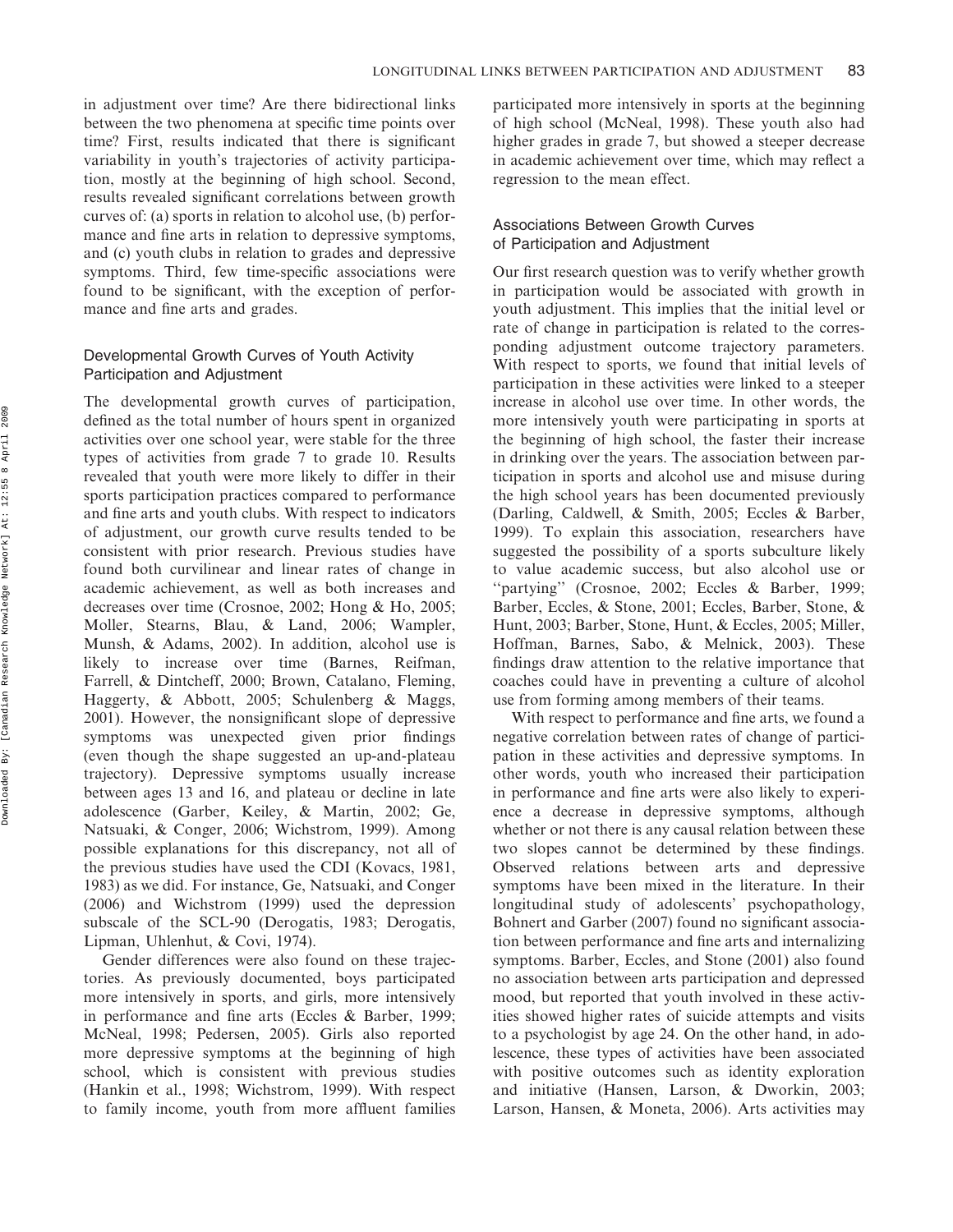in adjustment over time? Are there bidirectional links between the two phenomena at specific time points over time? First, results indicated that there is significant variability in youth's trajectories of activity participation, mostly at the beginning of high school. Second, results revealed significant correlations between growth curves of: (a) sports in relation to alcohol use, (b) performance and fine arts in relation to depressive symptoms, and (c) youth clubs in relation to grades and depressive symptoms. Third, few time-specific associations were found to be significant, with the exception of performance and fine arts and grades.

#### Developmental Growth Curves of Youth Activity Participation and Adjustment

The developmental growth curves of participation, defined as the total number of hours spent in organized activities over one school year, were stable for the three types of activities from grade 7 to grade 10. Results revealed that youth were more likely to differ in their sports participation practices compared to performance and fine arts and youth clubs. With respect to indicators of adjustment, our growth curve results tended to be consistent with prior research. Previous studies have found both curvilinear and linear rates of change in academic achievement, as well as both increases and decreases over time (Crosnoe, 2002; Hong & Ho, 2005; Moller, Stearns, Blau, & Land, 2006; Wampler, Munsh, & Adams, 2002). In addition, alcohol use is likely to increase over time (Barnes, Reifman, Farrell, & Dintcheff, 2000; Brown, Catalano, Fleming, Haggerty, & Abbott, 2005; Schulenberg & Maggs, 2001). However, the nonsignificant slope of depressive symptoms was unexpected given prior findings (even though the shape suggested an up-and-plateau trajectory). Depressive symptoms usually increase between ages 13 and 16, and plateau or decline in late adolescence (Garber, Keiley, & Martin, 2002; Ge, Natsuaki, & Conger, 2006; Wichstrom, 1999). Among possible explanations for this discrepancy, not all of the previous studies have used the CDI (Kovacs, 1981, 1983) as we did. For instance, Ge, Natsuaki, and Conger (2006) and Wichstrom (1999) used the depression subscale of the SCL-90 (Derogatis, 1983; Derogatis, Lipman, Uhlenhut, & Covi, 1974).

Gender differences were also found on these trajectories. As previously documented, boys participated more intensively in sports, and girls, more intensively in performance and fine arts (Eccles & Barber, 1999; McNeal, 1998; Pedersen, 2005). Girls also reported more depressive symptoms at the beginning of high school, which is consistent with previous studies (Hankin et al., 1998; Wichstrom, 1999). With respect to family income, youth from more affluent families participated more intensively in sports at the beginning of high school (McNeal, 1998). These youth also had higher grades in grade 7, but showed a steeper decrease in academic achievement over time, which may reflect a regression to the mean effect.

## Associations Between Growth Curves of Participation and Adjustment

Our first research question was to verify whether growth in participation would be associated with growth in youth adjustment. This implies that the initial level or rate of change in participation is related to the corresponding adjustment outcome trajectory parameters. With respect to sports, we found that initial levels of participation in these activities were linked to a steeper increase in alcohol use over time. In other words, the more intensively youth were participating in sports at the beginning of high school, the faster their increase in drinking over the years. The association between participation in sports and alcohol use and misuse during the high school years has been documented previously (Darling, Caldwell, & Smith, 2005; Eccles & Barber, 1999). To explain this association, researchers have suggested the possibility of a sports subculture likely to value academic success, but also alcohol use or "partying" (Crosnoe, 2002; Eccles & Barber, 1999; Barber, Eccles, & Stone, 2001; Eccles, Barber, Stone, & Hunt, 2003; Barber, Stone, Hunt, & Eccles, 2005; Miller, Hoffman, Barnes, Sabo, & Melnick, 2003). These findings draw attention to the relative importance that coaches could have in preventing a culture of alcohol use from forming among members of their teams.

With respect to performance and fine arts, we found a negative correlation between rates of change of participation in these activities and depressive symptoms. In other words, youth who increased their participation in performance and fine arts were also likely to experience a decrease in depressive symptoms, although whether or not there is any causal relation between these two slopes cannot be determined by these findings. Observed relations between arts and depressive symptoms have been mixed in the literature. In their longitudinal study of adolescents' psychopathology, Bohnert and Garber (2007) found no significant association between performance and fine arts and internalizing symptoms. Barber, Eccles, and Stone (2001) also found no association between arts participation and depressed mood, but reported that youth involved in these activities showed higher rates of suicide attempts and visits to a psychologist by age 24. On the other hand, in adolescence, these types of activities have been associated with positive outcomes such as identity exploration and initiative (Hansen, Larson, & Dworkin, 2003; Larson, Hansen, & Moneta, 2006). Arts activities may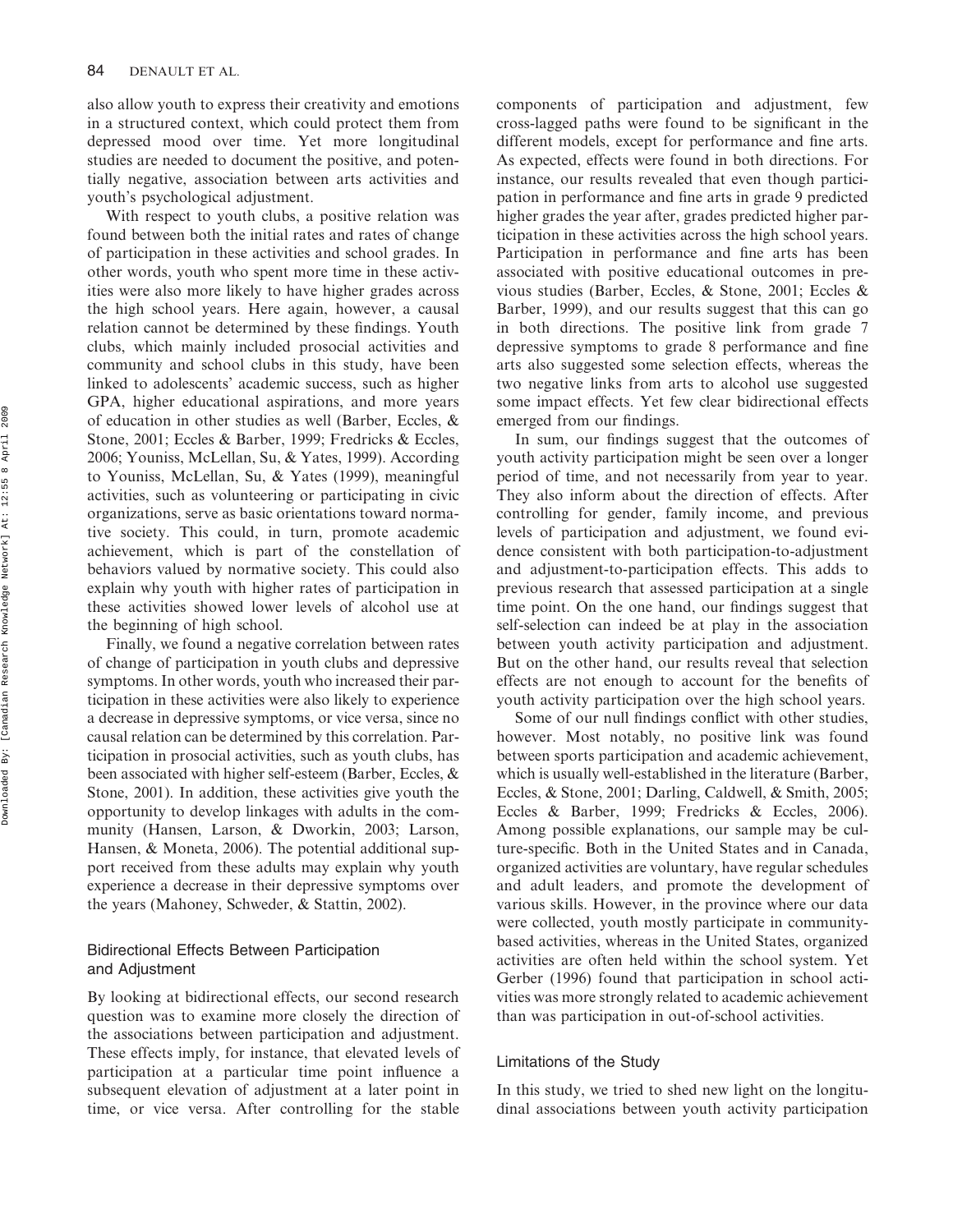also allow youth to express their creativity and emotions in a structured context, which could protect them from depressed mood over time. Yet more longitudinal studies are needed to document the positive, and potentially negative, association between arts activities and youth's psychological adjustment.

With respect to youth clubs, a positive relation was found between both the initial rates and rates of change of participation in these activities and school grades. In other words, youth who spent more time in these activities were also more likely to have higher grades across the high school years. Here again, however, a causal relation cannot be determined by these findings. Youth clubs, which mainly included prosocial activities and community and school clubs in this study, have been linked to adolescents' academic success, such as higher GPA, higher educational aspirations, and more years of education in other studies as well (Barber, Eccles, & Stone, 2001; Eccles & Barber, 1999; Fredricks & Eccles, 2006; Youniss, McLellan, Su, & Yates, 1999). According to Youniss, McLellan, Su, & Yates (1999), meaningful activities, such as volunteering or participating in civic organizations, serve as basic orientations toward normative society. This could, in turn, promote academic achievement, which is part of the constellation of behaviors valued by normative society. This could also explain why youth with higher rates of participation in these activities showed lower levels of alcohol use at the beginning of high school.

Finally, we found a negative correlation between rates of change of participation in youth clubs and depressive symptoms. In other words, youth who increased their participation in these activities were also likely to experience a decrease in depressive symptoms, or vice versa, since no causal relation can be determined by this correlation. Participation in prosocial activities, such as youth clubs, has been associated with higher self-esteem (Barber, Eccles, & Stone, 2001). In addition, these activities give youth the opportunity to develop linkages with adults in the community (Hansen, Larson, & Dworkin, 2003; Larson, Hansen, & Moneta, 2006). The potential additional support received from these adults may explain why youth experience a decrease in their depressive symptoms over the years (Mahoney, Schweder, & Stattin, 2002).

## Bidirectional Effects Between Participation and Adjustment

By looking at bidirectional effects, our second research question was to examine more closely the direction of the associations between participation and adjustment. These effects imply, for instance, that elevated levels of participation at a particular time point influence a subsequent elevation of adjustment at a later point in time, or vice versa. After controlling for the stable

components of participation and adjustment, few cross-lagged paths were found to be significant in the different models, except for performance and fine arts. As expected, effects were found in both directions. For instance, our results revealed that even though participation in performance and fine arts in grade 9 predicted higher grades the year after, grades predicted higher participation in these activities across the high school years. Participation in performance and fine arts has been associated with positive educational outcomes in previous studies (Barber, Eccles, & Stone, 2001; Eccles & Barber, 1999), and our results suggest that this can go in both directions. The positive link from grade 7 depressive symptoms to grade 8 performance and fine arts also suggested some selection effects, whereas the two negative links from arts to alcohol use suggested some impact effects. Yet few clear bidirectional effects emerged from our findings.

In sum, our findings suggest that the outcomes of youth activity participation might be seen over a longer period of time, and not necessarily from year to year. They also inform about the direction of effects. After controlling for gender, family income, and previous levels of participation and adjustment, we found evidence consistent with both participation-to-adjustment and adjustment-to-participation effects. This adds to previous research that assessed participation at a single time point. On the one hand, our findings suggest that self-selection can indeed be at play in the association between youth activity participation and adjustment. But on the other hand, our results reveal that selection effects are not enough to account for the benefits of youth activity participation over the high school years.

Some of our null findings conflict with other studies, however. Most notably, no positive link was found between sports participation and academic achievement, which is usually well-established in the literature (Barber, Eccles, & Stone, 2001; Darling, Caldwell, & Smith, 2005; Eccles & Barber, 1999; Fredricks & Eccles, 2006). Among possible explanations, our sample may be culture-specific. Both in the United States and in Canada, organized activities are voluntary, have regular schedules and adult leaders, and promote the development of various skills. However, in the province where our data were collected, youth mostly participate in communitybased activities, whereas in the United States, organized activities are often held within the school system. Yet Gerber (1996) found that participation in school activities was more strongly related to academic achievement than was participation in out-of-school activities.

#### Limitations of the Study

In this study, we tried to shed new light on the longitudinal associations between youth activity participation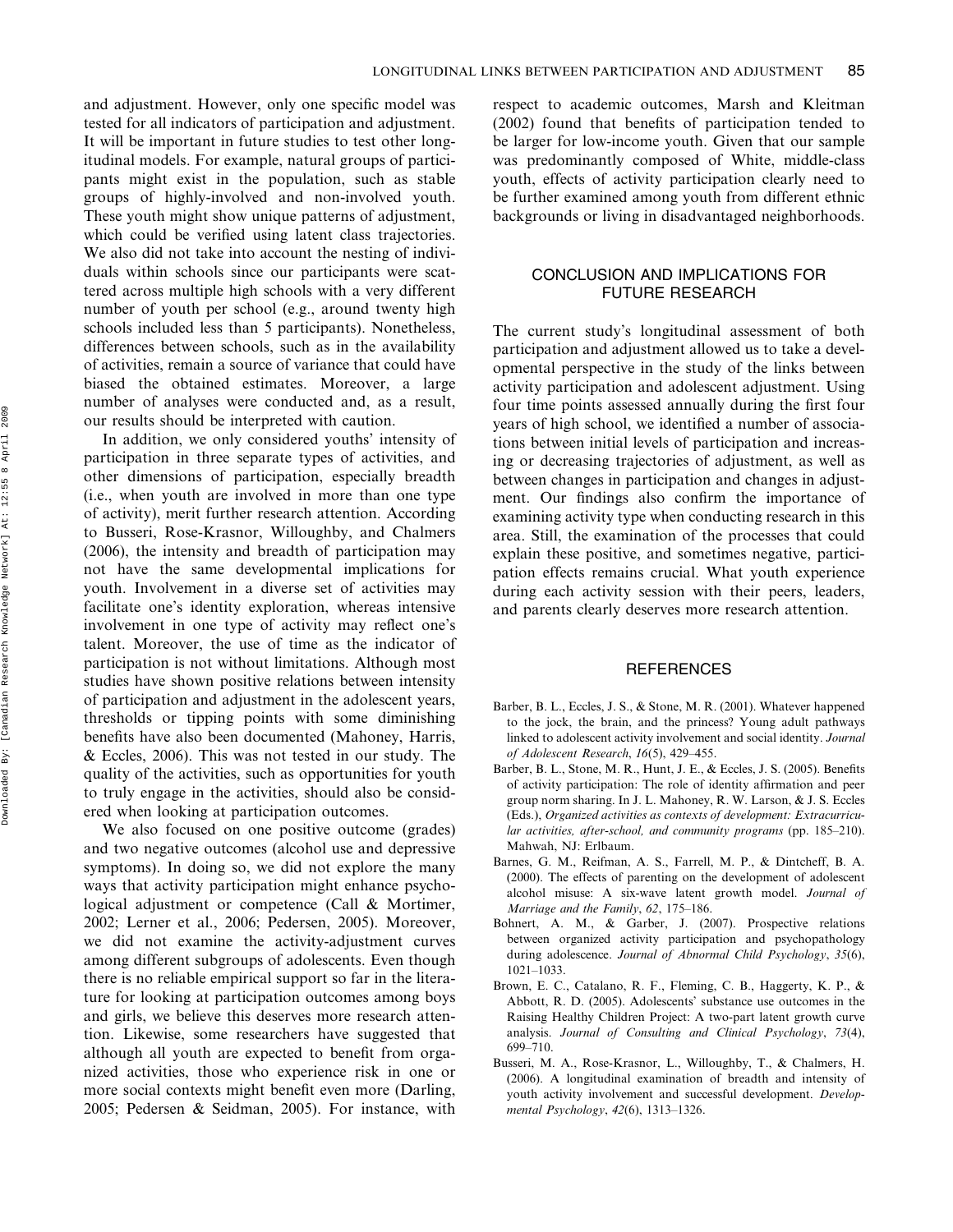and adjustment. However, only one specific model was tested for all indicators of participation and adjustment. It will be important in future studies to test other longitudinal models. For example, natural groups of participants might exist in the population, such as stable groups of highly-involved and non-involved youth. These youth might show unique patterns of adjustment, which could be verified using latent class trajectories. We also did not take into account the nesting of individuals within schools since our participants were scattered across multiple high schools with a very different number of youth per school (e.g., around twenty high schools included less than 5 participants). Nonetheless, differences between schools, such as in the availability of activities, remain a source of variance that could have biased the obtained estimates. Moreover, a large number of analyses were conducted and, as a result, our results should be interpreted with caution.

In addition, we only considered youths' intensity of participation in three separate types of activities, and other dimensions of participation, especially breadth (i.e., when youth are involved in more than one type of activity), merit further research attention. According to Busseri, Rose-Krasnor, Willoughby, and Chalmers (2006), the intensity and breadth of participation may not have the same developmental implications for youth. Involvement in a diverse set of activities may facilitate one's identity exploration, whereas intensive involvement in one type of activity may reflect one's talent. Moreover, the use of time as the indicator of participation is not without limitations. Although most studies have shown positive relations between intensity of participation and adjustment in the adolescent years, thresholds or tipping points with some diminishing benefits have also been documented (Mahoney, Harris, & Eccles, 2006). This was not tested in our study. The quality of the activities, such as opportunities for youth to truly engage in the activities, should also be considered when looking at participation outcomes.

We also focused on one positive outcome (grades) and two negative outcomes (alcohol use and depressive symptoms). In doing so, we did not explore the many ways that activity participation might enhance psychological adjustment or competence (Call & Mortimer, 2002; Lerner et al., 2006; Pedersen, 2005). Moreover, we did not examine the activity-adjustment curves among different subgroups of adolescents. Even though there is no reliable empirical support so far in the literature for looking at participation outcomes among boys and girls, we believe this deserves more research attention. Likewise, some researchers have suggested that although all youth are expected to benefit from organized activities, those who experience risk in one or more social contexts might benefit even more (Darling, 2005; Pedersen & Seidman, 2005). For instance, with respect to academic outcomes, Marsh and Kleitman (2002) found that benefits of participation tended to be larger for low-income youth. Given that our sample was predominantly composed of White, middle-class youth, effects of activity participation clearly need to be further examined among youth from different ethnic backgrounds or living in disadvantaged neighborhoods.

## CONCLUSION AND IMPLICATIONS FOR FUTURE RESEARCH

The current study's longitudinal assessment of both participation and adjustment allowed us to take a developmental perspective in the study of the links between activity participation and adolescent adjustment. Using four time points assessed annually during the first four years of high school, we identified a number of associations between initial levels of participation and increasing or decreasing trajectories of adjustment, as well as between changes in participation and changes in adjustment. Our findings also confirm the importance of examining activity type when conducting research in this area. Still, the examination of the processes that could explain these positive, and sometimes negative, participation effects remains crucial. What youth experience during each activity session with their peers, leaders, and parents clearly deserves more research attention.

#### **REFERENCES**

- Barber, B. L., Eccles, J. S., & Stone, M. R. (2001). Whatever happened to the jock, the brain, and the princess? Young adult pathways linked to adolescent activity involvement and social identity. Journal of Adolescent Research, 16(5), 429–455.
- Barber, B. L., Stone, M. R., Hunt, J. E., & Eccles, J. S. (2005). Benefits of activity participation: The role of identity affirmation and peer group norm sharing. In J. L. Mahoney, R. W. Larson, & J. S. Eccles (Eds.), Organized activities as contexts of development: Extracurricular activities, after-school, and community programs (pp. 185–210). Mahwah, NJ: Erlbaum.
- Barnes, G. M., Reifman, A. S., Farrell, M. P., & Dintcheff, B. A. (2000). The effects of parenting on the development of adolescent alcohol misuse: A six-wave latent growth model. Journal of Marriage and the Family, 62, 175-186.
- Bohnert, A. M., & Garber, J. (2007). Prospective relations between organized activity participation and psychopathology during adolescence. Journal of Abnormal Child Psychology, 35(6), 1021–1033.
- Brown, E. C., Catalano, R. F., Fleming, C. B., Haggerty, K. P., & Abbott, R. D. (2005). Adolescents' substance use outcomes in the Raising Healthy Children Project: A two-part latent growth curve analysis. Journal of Consulting and Clinical Psychology, 73(4), 699–710.
- Busseri, M. A., Rose-Krasnor, L., Willoughby, T., & Chalmers, H. (2006). A longitudinal examination of breadth and intensity of youth activity involvement and successful development. Developmental Psychology, 42(6), 1313–1326.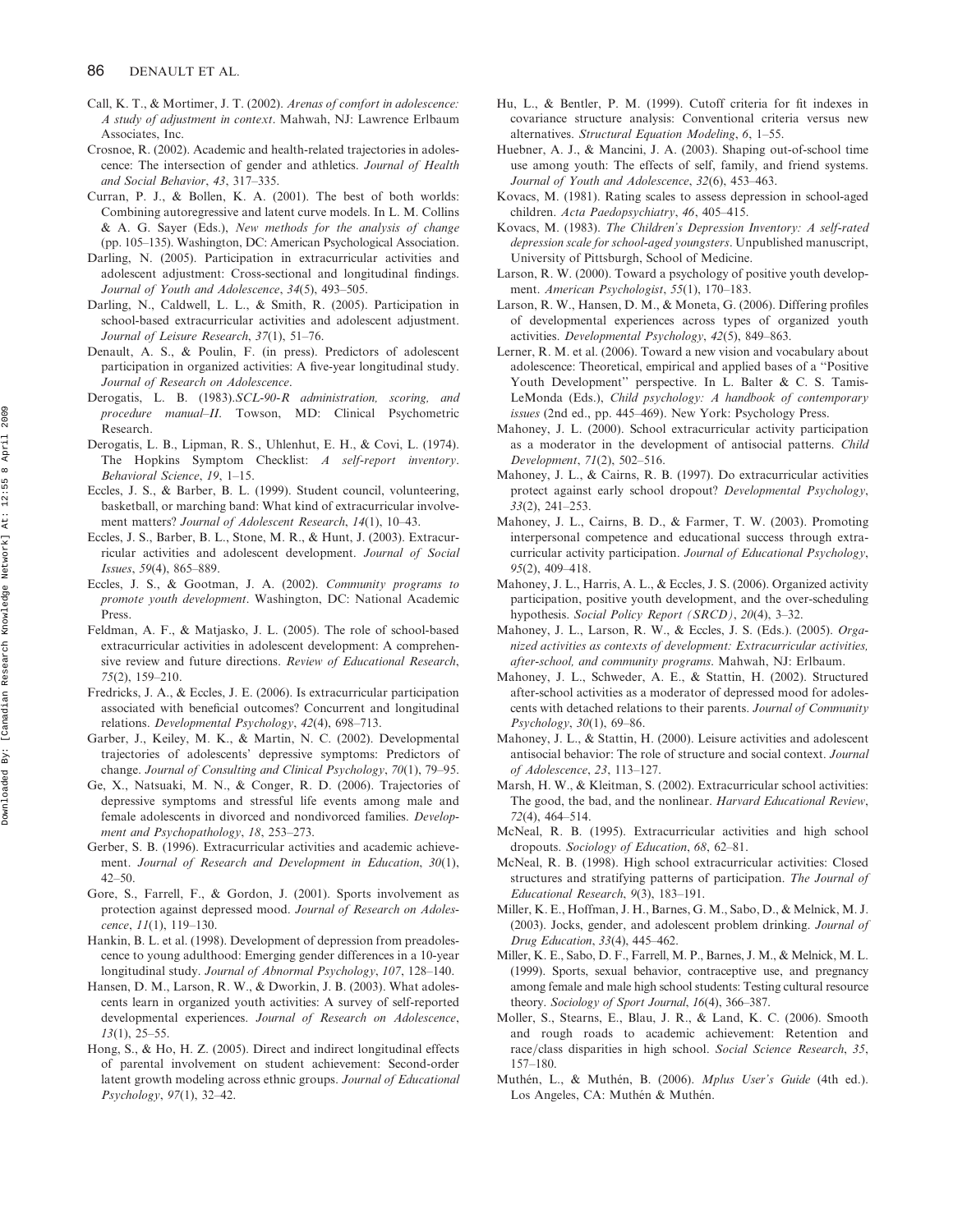- Call, K. T., & Mortimer, J. T. (2002). Arenas of comfort in adolescence: A study of adjustment in context. Mahwah, NJ: Lawrence Erlbaum Associates, Inc.
- Crosnoe, R. (2002). Academic and health-related trajectories in adolescence: The intersection of gender and athletics. Journal of Health and Social Behavior, 43, 317–335.
- Curran, P. J., & Bollen, K. A. (2001). The best of both worlds: Combining autoregressive and latent curve models. In L. M. Collins & A. G. Sayer (Eds.), New methods for the analysis of change (pp. 105–135). Washington, DC: American Psychological Association.
- Darling, N. (2005). Participation in extracurricular activities and adolescent adjustment: Cross-sectional and longitudinal findings. Journal of Youth and Adolescence, 34(5), 493–505.
- Darling, N., Caldwell, L. L., & Smith, R. (2005). Participation in school-based extracurricular activities and adolescent adjustment. Journal of Leisure Research, 37(1), 51–76.
- Denault, A. S., & Poulin, F. (in press). Predictors of adolescent participation in organized activities: A five-year longitudinal study. Journal of Research on Adolescence.
- Derogatis, L. B. (1983). SCL-90-R administration, scoring, and procedure manual–II. Towson, MD: Clinical Psychometric Research.
- Derogatis, L. B., Lipman, R. S., Uhlenhut, E. H., & Covi, L. (1974). The Hopkins Symptom Checklist: A self-report inventory. Behavioral Science, 19, 1–15.
- Eccles, J. S., & Barber, B. L. (1999). Student council, volunteering, basketball, or marching band: What kind of extracurricular involvement matters? Journal of Adolescent Research, 14(1), 10–43.
- Eccles, J. S., Barber, B. L., Stone, M. R., & Hunt, J. (2003). Extracurricular activities and adolescent development. Journal of Social Issues, 59(4), 865–889.
- Eccles, J. S., & Gootman, J. A. (2002). Community programs to promote youth development. Washington, DC: National Academic Press.
- Feldman, A. F., & Matjasko, J. L. (2005). The role of school-based extracurricular activities in adolescent development: A comprehensive review and future directions. Review of Educational Research, 75(2), 159–210.
- Fredricks, J. A., & Eccles, J. E. (2006). Is extracurricular participation associated with beneficial outcomes? Concurrent and longitudinal relations. Developmental Psychology, 42(4), 698-713.
- Garber, J., Keiley, M. K., & Martin, N. C. (2002). Developmental trajectories of adolescents' depressive symptoms: Predictors of change. Journal of Consulting and Clinical Psychology, 70(1), 79–95.
- Ge, X., Natsuaki, M. N., & Conger, R. D. (2006). Trajectories of depressive symptoms and stressful life events among male and female adolescents in divorced and nondivorced families. Development and Psychopathology, 18, 253–273.
- Gerber, S. B. (1996). Extracurricular activities and academic achievement. Journal of Research and Development in Education, 30(1),  $42 - 50.$
- Gore, S., Farrell, F., & Gordon, J. (2001). Sports involvement as protection against depressed mood. Journal of Research on Adolescence, 11(1), 119–130.
- Hankin, B. L. et al. (1998). Development of depression from preadolescence to young adulthood: Emerging gender differences in a 10-year longitudinal study. Journal of Abnormal Psychology, 107, 128–140.
- Hansen, D. M., Larson, R. W., & Dworkin, J. B. (2003). What adolescents learn in organized youth activities: A survey of self-reported developmental experiences. Journal of Research on Adolescence, 13(1), 25–55.
- Hong, S., & Ho, H. Z. (2005). Direct and indirect longitudinal effects of parental involvement on student achievement: Second-order latent growth modeling across ethnic groups. Journal of Educational Psychology, 97(1), 32–42.
- Hu, L., & Bentler, P. M. (1999). Cutoff criteria for fit indexes in covariance structure analysis: Conventional criteria versus new alternatives. Structural Equation Modeling, 6, 1-55.
- Huebner, A. J., & Mancini, J. A. (2003). Shaping out-of-school time use among youth: The effects of self, family, and friend systems. Journal of Youth and Adolescence, 32(6), 453–463.
- Kovacs, M. (1981). Rating scales to assess depression in school-aged children. Acta Paedopsychiatry, 46, 405–415.
- Kovacs, M. (1983). The Children's Depression Inventory: A self-rated depression scale for school-aged youngsters. Unpublished manuscript, University of Pittsburgh, School of Medicine.
- Larson, R. W. (2000). Toward a psychology of positive youth development. American Psychologist, 55(1), 170–183.
- Larson, R. W., Hansen, D. M., & Moneta, G. (2006). Differing profiles of developmental experiences across types of organized youth activities. Developmental Psychology, 42(5), 849–863.
- Lerner, R. M. et al. (2006). Toward a new vision and vocabulary about adolescence: Theoretical, empirical and applied bases of a ''Positive Youth Development" perspective. In L. Balter & C. S. Tamis-LeMonda (Eds.), Child psychology: A handbook of contemporary issues (2nd ed., pp. 445–469). New York: Psychology Press.
- Mahoney, J. L. (2000). School extracurricular activity participation as a moderator in the development of antisocial patterns. Child Development, 71(2), 502–516.
- Mahoney, J. L., & Cairns, R. B. (1997). Do extracurricular activities protect against early school dropout? Developmental Psychology, 33(2), 241–253.
- Mahoney, J. L., Cairns, B. D., & Farmer, T. W. (2003). Promoting interpersonal competence and educational success through extracurricular activity participation. Journal of Educational Psychology, 95(2), 409–418.
- Mahoney, J. L., Harris, A. L., & Eccles, J. S. (2006). Organized activity participation, positive youth development, and the over-scheduling hypothesis. Social Policy Report (SRCD), 20(4), 3-32.
- Mahoney, J. L., Larson, R. W., & Eccles, J. S. (Eds.). (2005). Organized activities as contexts of development: Extracurricular activities, after-school, and community programs. Mahwah, NJ: Erlbaum.
- Mahoney, J. L., Schweder, A. E., & Stattin, H. (2002). Structured after-school activities as a moderator of depressed mood for adolescents with detached relations to their parents. Journal of Community Psychology, 30(1), 69–86.
- Mahoney, J. L., & Stattin, H. (2000). Leisure activities and adolescent antisocial behavior: The role of structure and social context. Journal of Adolescence, 23, 113–127.
- Marsh, H. W., & Kleitman, S. (2002). Extracurricular school activities: The good, the bad, and the nonlinear. Harvard Educational Review, 72(4), 464–514.
- McNeal, R. B. (1995). Extracurricular activities and high school dropouts. Sociology of Education, 68, 62-81.
- McNeal, R. B. (1998). High school extracurricular activities: Closed structures and stratifying patterns of participation. The Journal of Educational Research, 9(3), 183–191.
- Miller, K. E., Hoffman, J. H., Barnes, G. M., Sabo, D., & Melnick, M. J. (2003). Jocks, gender, and adolescent problem drinking. Journal of Drug Education, 33(4), 445–462.
- Miller, K. E., Sabo, D. F., Farrell, M. P., Barnes, J. M., & Melnick, M. L. (1999). Sports, sexual behavior, contraceptive use, and pregnancy among female and male high school students: Testing cultural resource theory. Sociology of Sport Journal, 16(4), 366-387.
- Moller, S., Stearns, E., Blau, J. R., & Land, K. C. (2006). Smooth and rough roads to academic achievement: Retention and race/class disparities in high school. Social Science Research, 35, 157–180.
- Muthén, L., & Muthén, B. (2006). Mplus User's Guide (4th ed.). Los Angeles, CA: Muthén & Muthén.